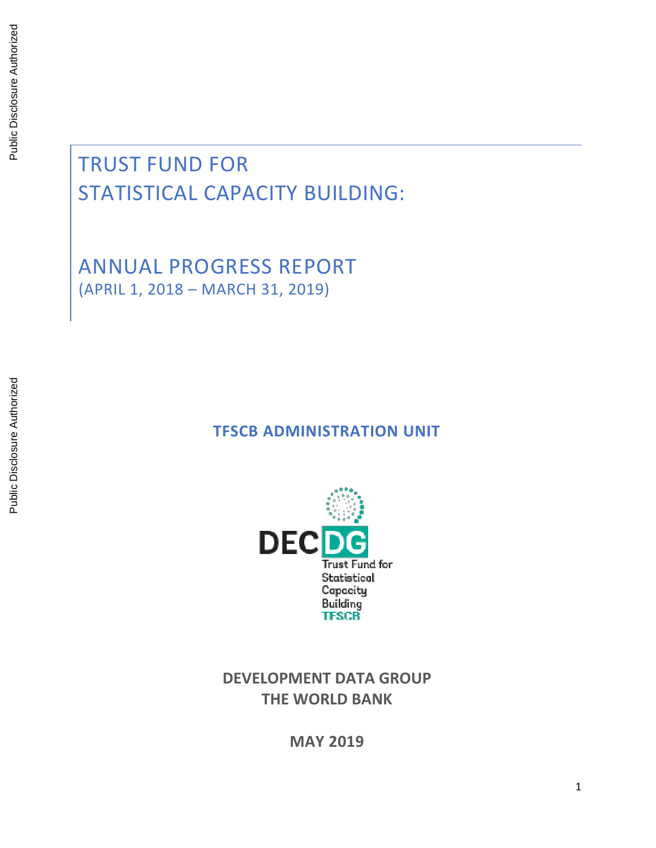# TRUST FUND FOR STATISTICAL CAPACITY BUILDING:

ANNUAL PROGRESS REPORT (APRIL 1, 2018 – MARCH 31, 2019)

### **TFSCB ADMINISTRATION UNIT**



**DEVELOPMENT DATA GROUP THE WORLD BANK**

**MAY 2019**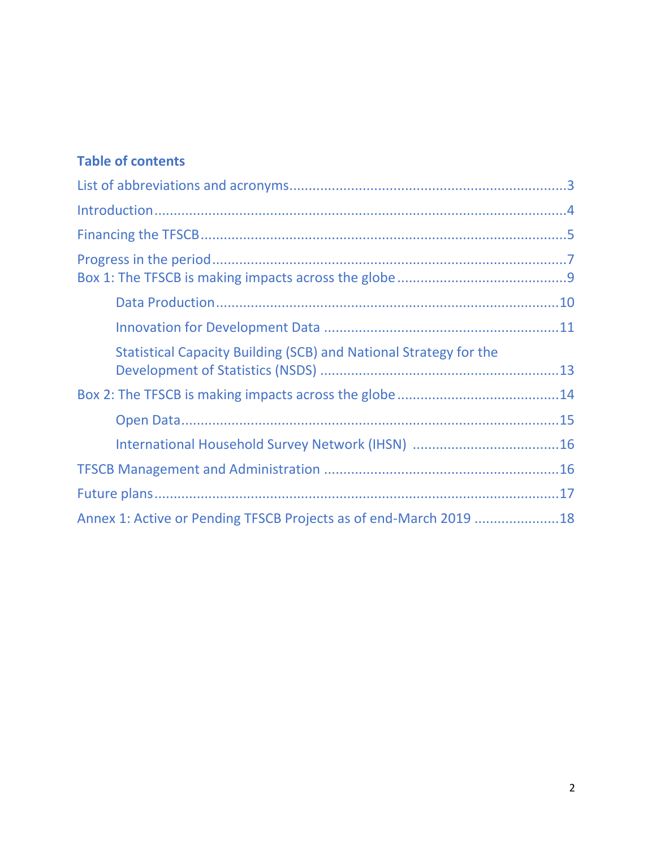### **Table of contents**

| Statistical Capacity Building (SCB) and National Strategy for the |  |
|-------------------------------------------------------------------|--|
|                                                                   |  |
|                                                                   |  |
|                                                                   |  |
|                                                                   |  |
|                                                                   |  |
| Annex 1: Active or Pending TFSCB Projects as of end-March 2019 18 |  |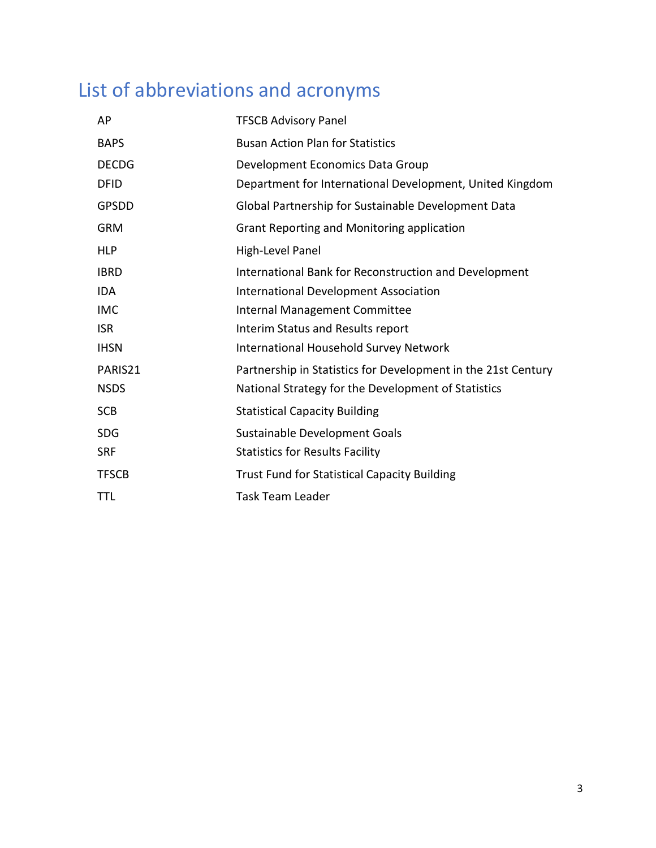# List of abbreviations and acronyms

| AP           | <b>TFSCB Advisory Panel</b>                                   |
|--------------|---------------------------------------------------------------|
| <b>BAPS</b>  | <b>Busan Action Plan for Statistics</b>                       |
| <b>DECDG</b> | Development Economics Data Group                              |
| <b>DFID</b>  | Department for International Development, United Kingdom      |
| <b>GPSDD</b> | Global Partnership for Sustainable Development Data           |
| <b>GRM</b>   | Grant Reporting and Monitoring application                    |
| <b>HLP</b>   | High-Level Panel                                              |
| <b>IBRD</b>  | International Bank for Reconstruction and Development         |
| <b>IDA</b>   | <b>International Development Association</b>                  |
| <b>IMC</b>   | Internal Management Committee                                 |
| <b>ISR</b>   | Interim Status and Results report                             |
| <b>IHSN</b>  | <b>International Household Survey Network</b>                 |
| PARIS21      | Partnership in Statistics for Development in the 21st Century |
| <b>NSDS</b>  | National Strategy for the Development of Statistics           |
| <b>SCB</b>   | <b>Statistical Capacity Building</b>                          |
| <b>SDG</b>   | Sustainable Development Goals                                 |
| <b>SRF</b>   | <b>Statistics for Results Facility</b>                        |
| <b>TFSCB</b> | <b>Trust Fund for Statistical Capacity Building</b>           |
| TTL          | <b>Task Team Leader</b>                                       |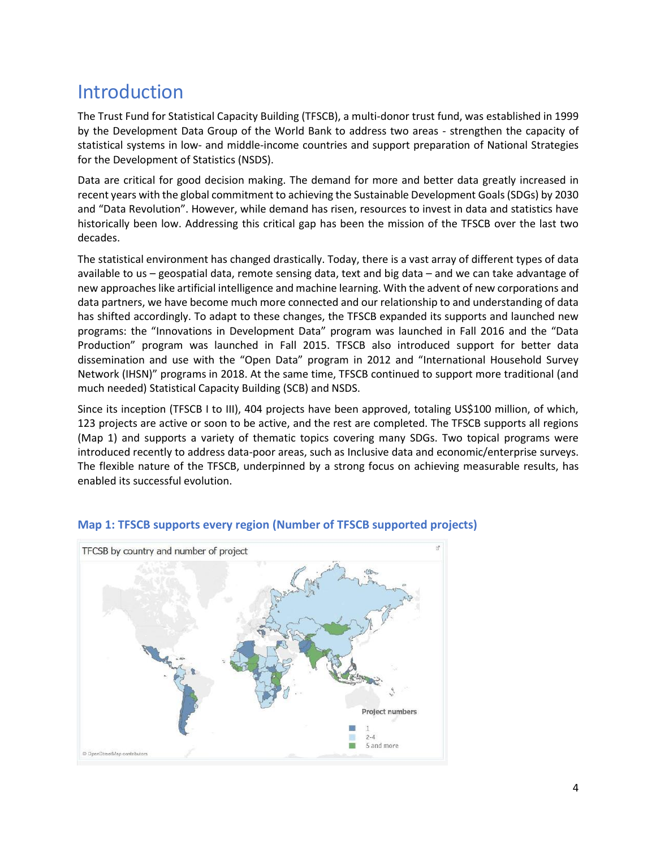## Introduction

The Trust Fund for Statistical Capacity Building (TFSCB), a multi-donor trust fund, was established in 1999 by the Development Data Group of the World Bank to address two areas - strengthen the capacity of statistical systems in low- and middle-income countries and support preparation of National Strategies for the Development of Statistics (NSDS).

Data are critical for good decision making. The demand for more and better data greatly increased in recent years with the global commitment to achieving the Sustainable Development Goals (SDGs) by 2030 and "Data Revolution". However, while demand has risen, resources to invest in data and statistics have historically been low. Addressing this critical gap has been the mission of the TFSCB over the last two decades.

The statistical environment has changed drastically. Today, there is a vast array of different types of data available to us – geospatial data, remote sensing data, text and big data – and we can take advantage of new approaches like artificial intelligence and machine learning. With the advent of new corporations and data partners, we have become much more connected and our relationship to and understanding of data has shifted accordingly. To adapt to these changes, the TFSCB expanded its supports and launched new programs: the "Innovations in Development Data" program was launched in Fall 2016 and the "Data Production" program was launched in Fall 2015. TFSCB also introduced support for better data dissemination and use with the "Open Data" program in 2012 and "International Household Survey Network (IHSN)" programs in 2018. At the same time, TFSCB continued to support more traditional (and much needed) Statistical Capacity Building (SCB) and NSDS.

Since its inception (TFSCB I to III), 404 projects have been approved, totaling US\$100 million, of which, 123 projects are active or soon to be active, and the rest are completed. The TFSCB supports all regions (Map 1) and supports a variety of thematic topics covering many SDGs. Two topical programs were introduced recently to address data-poor areas, such as Inclusive data and economic/enterprise surveys. The flexible nature of the TFSCB, underpinned by a strong focus on achieving measurable results, has enabled its successful evolution.



#### **Map 1: TFSCB supports every region (Number of TFSCB supported projects)**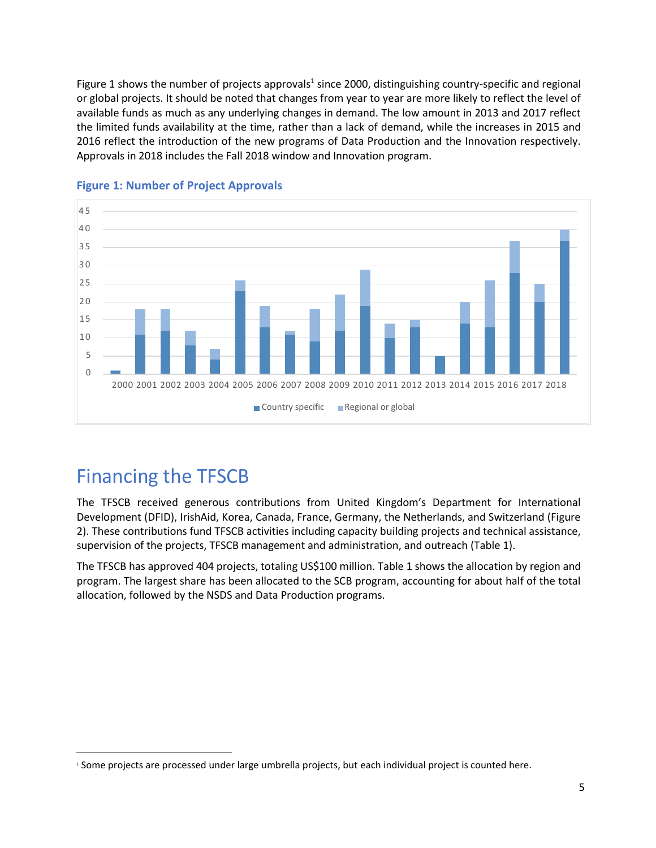Figure 1 shows the number of projects approvals<sup>1</sup> since 2000, distinguishing country-specific and regional or global projects. It should be noted that changes from year to year are more likely to reflect the level of available funds as much as any underlying changes in demand. The low amount in 2013 and 2017 reflect the limited funds availability at the time, rather than a lack of demand, while the increases in 2015 and 2016 reflect the introduction of the new programs of Data Production and the Innovation respectively. Approvals in 2018 includes the Fall 2018 window and Innovation program.



### **Figure 1: Number of Project Approvals**

## Financing the TFSCB

The TFSCB received generous contributions from United Kingdom's Department for International Development (DFID), IrishAid, Korea, Canada, France, Germany, the Netherlands, and Switzerland (Figure 2). These contributions fund TFSCB activities including capacity building projects and technical assistance, supervision of the projects, TFSCB management and administration, and outreach (Table 1).

The TFSCB has approved 404 projects, totaling US\$100 million. Table 1 shows the allocation by region and program. The largest share has been allocated to the SCB program, accounting for about half of the total allocation, followed by the NSDS and Data Production programs.

<sup>1</sup> Some projects are processed under large umbrella projects, but each individual project is counted here.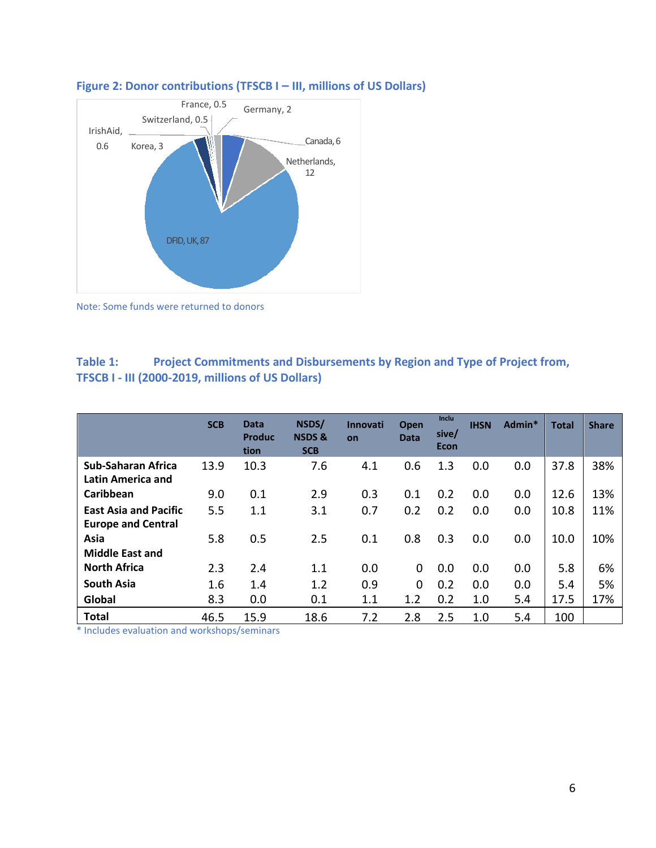

### **Figure 2: Donor contributions (TFSCB I – III, millions of US Dollars)**

Note: Some funds were returned to donors

### **Table 1: Project Commitments and Disbursements by Region and Type of Project from, TFSCB I - III (2000-2019, millions of US Dollars)**

|                                                | <b>SCB</b> | <b>Data</b><br>Produc<br>tion | NSDS/<br><b>NSDS &amp;</b><br><b>SCB</b> | <b>Innovati</b><br>on | <b>Open</b><br><b>Data</b> | Inclu<br>sive/<br>Econ | <b>IHSN</b> | Admin* | <b>Total</b> | <b>Share</b> |
|------------------------------------------------|------------|-------------------------------|------------------------------------------|-----------------------|----------------------------|------------------------|-------------|--------|--------------|--------------|
| <b>Sub-Saharan Africa</b><br>Latin America and | 13.9       | 10.3                          | 7.6                                      | 4.1                   | 0.6                        | 1.3                    | 0.0         | 0.0    | 37.8         | 38%          |
| Caribbean                                      | 9.0        | 0.1                           | 2.9                                      | 0.3                   | 0.1                        | 0.2                    | 0.0         | 0.0    | 12.6         | 13%          |
| <b>East Asia and Pacific</b>                   | 5.5        | 1.1                           | 3.1                                      | 0.7                   | 0.2                        | 0.2                    | 0.0         | 0.0    | 10.8         | 11%          |
| <b>Europe and Central</b>                      |            |                               |                                          |                       |                            |                        |             |        |              |              |
| Asia                                           | 5.8        | 0.5                           | 2.5                                      | 0.1                   | 0.8                        | 0.3                    | 0.0         | 0.0    | 10.0         | 10%          |
| <b>Middle East and</b>                         |            |                               |                                          |                       |                            |                        |             |        |              |              |
| <b>North Africa</b>                            | 2.3        | 2.4                           | 1.1                                      | 0.0                   | $\Omega$                   | 0.0                    | 0.0         | 0.0    | 5.8          | 6%           |
| <b>South Asia</b>                              | 1.6        | 1.4                           | 1.2                                      | 0.9                   | $\Omega$                   | 0.2                    | 0.0         | 0.0    | 5.4          | 5%           |
| Global                                         | 8.3        | 0.0                           | 0.1                                      | 1.1                   | 1.2                        | 0.2                    | 1.0         | 5.4    | 17.5         | 17%          |
| <b>Total</b>                                   | 46.5       | 15.9                          | 18.6                                     | 7.2                   | 2.8                        | 2.5                    | 1.0         | 5.4    | 100          |              |

\* Includes evaluation and workshops/seminars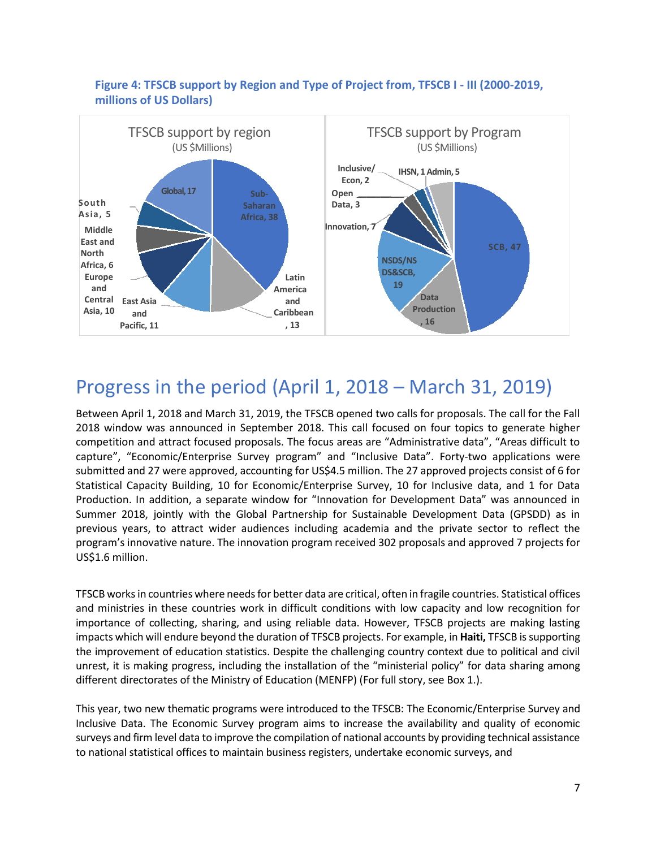



## Progress in the period (April 1, 2018 – March 31, 2019)

Between April 1, 2018 and March 31, 2019, the TFSCB opened two calls for proposals. The call for the Fall 2018 window was announced in September 2018. This call focused on four topics to generate higher competition and attract focused proposals. The focus areas are "Administrative data", "Areas difficult to capture", "Economic/Enterprise Survey program" and "Inclusive Data". Forty-two applications were submitted and 27 were approved, accounting for US\$4.5 million. The 27 approved projects consist of 6 for Statistical Capacity Building, 10 for Economic/Enterprise Survey, 10 for Inclusive data, and 1 for Data Production. In addition, a separate window for "Innovation for Development Data" was announced in Summer 2018, jointly with the Global Partnership for Sustainable Development Data (GPSDD) as in previous years, to attract wider audiences including academia and the private sector to reflect the program's innovative nature. The innovation program received 302 proposals and approved 7 projects for US\$1.6 million.

TFSCB works in countries where needs for better data are critical, often in fragile countries. Statistical offices and ministries in these countries work in difficult conditions with low capacity and low recognition for importance of collecting, sharing, and using reliable data. However, TFSCB projects are making lasting impacts which will endure beyond the duration of TFSCB projects. For example, in **Haiti,** TFSCB is supporting the improvement of education statistics. Despite the challenging country context due to political and civil unrest, it is making progress, including the installation of the "ministerial policy" for data sharing among different directorates of the Ministry of Education (MENFP) (For full story, see Box 1.).

This year, two new thematic programs were introduced to the TFSCB: The Economic/Enterprise Survey and Inclusive Data. The Economic Survey program aims to increase the availability and quality of economic surveys and firm level data to improve the compilation of national accounts by providing technical assistance to national statistical offices to maintain business registers, undertake economic surveys, and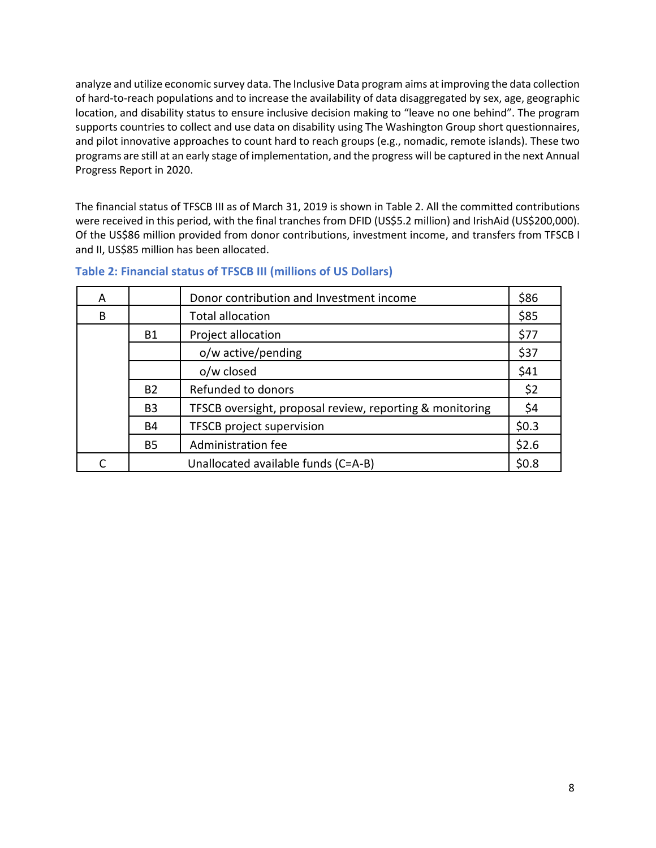analyze and utilize economic survey data. The Inclusive Data program aims at improving the data collection of hard-to-reach populations and to increase the availability of data disaggregated by sex, age, geographic location, and disability status to ensure inclusive decision making to "leave no one behind". The program supports countries to collect and use data on disability using The Washington Group short questionnaires, and pilot innovative approaches to count hard to reach groups (e.g., nomadic, remote islands). These two programs are still at an early stage of implementation, and the progress will be captured in the next Annual Progress Report in 2020.

The financial status of TFSCB III as of March 31, 2019 is shown in Table 2. All the committed contributions were received in this period, with the final tranches from DFID (US\$5.2 million) and IrishAid (US\$200,000). Of the US\$86 million provided from donor contributions, investment income, and transfers from TFSCB I and II, US\$85 million has been allocated.

| A |                | Donor contribution and Investment income                 | \$86  |
|---|----------------|----------------------------------------------------------|-------|
| B |                | <b>Total allocation</b>                                  | \$85  |
|   | <b>B1</b>      | Project allocation                                       | \$77  |
|   |                | o/w active/pending                                       | \$37  |
|   |                | o/w closed                                               | \$41  |
|   | <b>B2</b>      | Refunded to donors                                       | \$2   |
|   | B <sub>3</sub> | TFSCB oversight, proposal review, reporting & monitoring | \$4   |
|   | <b>B4</b>      | <b>TFSCB project supervision</b>                         | \$0.3 |
|   | <b>B5</b>      | Administration fee                                       | \$2.6 |
|   |                | Unallocated available funds (C=A-B)                      | \$0.8 |

#### **Table 2: Financial status of TFSCB III (millions of US Dollars)**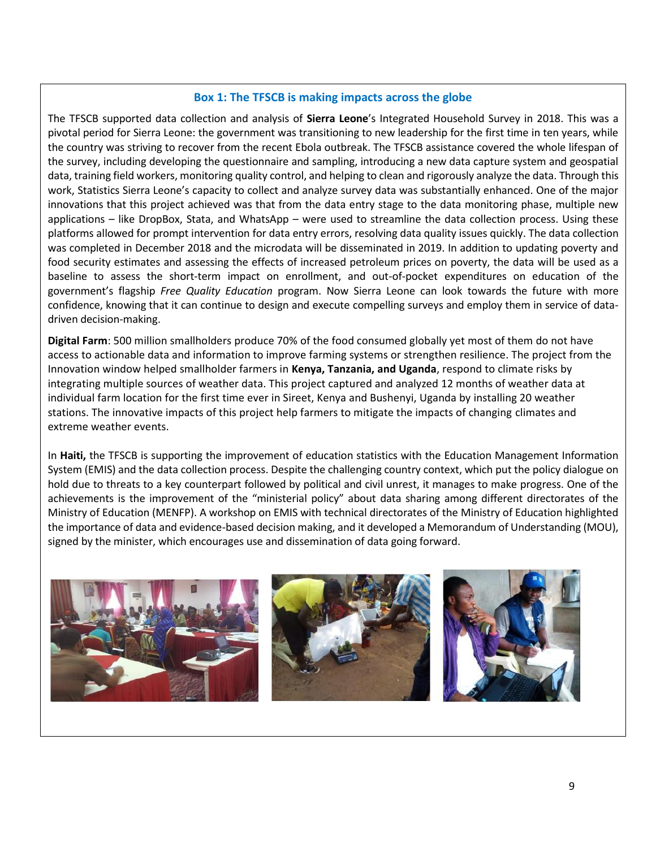#### **Box 1: The TFSCB is making impacts across the globe**

The TFSCB supported data collection and analysis of **Sierra Leone**'s Integrated Household Survey in 2018. This was a pivotal period for Sierra Leone: the government was transitioning to new leadership for the first time in ten years, while the country was striving to recover from the recent Ebola outbreak. The TFSCB assistance covered the whole lifespan of the survey, including developing the questionnaire and sampling, introducing a new data capture system and geospatial data, training field workers, monitoring quality control, and helping to clean and rigorously analyze the data. Through this work, Statistics Sierra Leone's capacity to collect and analyze survey data was substantially enhanced. One of the major innovations that this project achieved was that from the data entry stage to the data monitoring phase, multiple new applications – like DropBox, Stata, and WhatsApp – were used to streamline the data collection process. Using these platforms allowed for prompt intervention for data entry errors, resolving data quality issues quickly. The data collection was completed in December 2018 and the microdata will be disseminated in 2019. In addition to updating poverty and food security estimates and assessing the effects of increased petroleum prices on poverty, the data will be used as a baseline to assess the short-term impact on enrollment, and out-of-pocket expenditures on education of the government's flagship *Free Quality Education* program. Now Sierra Leone can look towards the future with more confidence, knowing that it can continue to design and execute compelling surveys and employ them in service of datadriven decision-making.

**Digital Farm**: 500 million smallholders produce 70% of the food consumed globally yet most of them do not have access to actionable data and information to improve farming systems or strengthen resilience. The project from the Innovation window helped smallholder farmers in **Kenya, Tanzania, and Uganda**, respond to climate risks by integrating multiple sources of weather data. This project captured and analyzed 12 months of weather data at individual farm location for the first time ever in Sireet, Kenya and Bushenyi, Uganda by installing 20 weather stations. The innovative impacts of this project help farmers to mitigate the impacts of changing climates and extreme weather events.

In **Haiti,** the TFSCB is supporting the improvement of education statistics with the Education Management Information System (EMIS) and the data collection process. Despite the challenging country context, which put the policy dialogue on hold due to threats to a key counterpart followed by political and civil unrest, it manages to make progress. One of the achievements is the improvement of the "ministerial policy" about data sharing among different directorates of the Ministry of Education (MENFP). A workshop on EMIS with technical directorates of the Ministry of Education highlighted the importance of data and evidence-based decision making, and it developed a Memorandum of Understanding (MOU), signed by the minister, which encourages use and dissemination of data going forward.

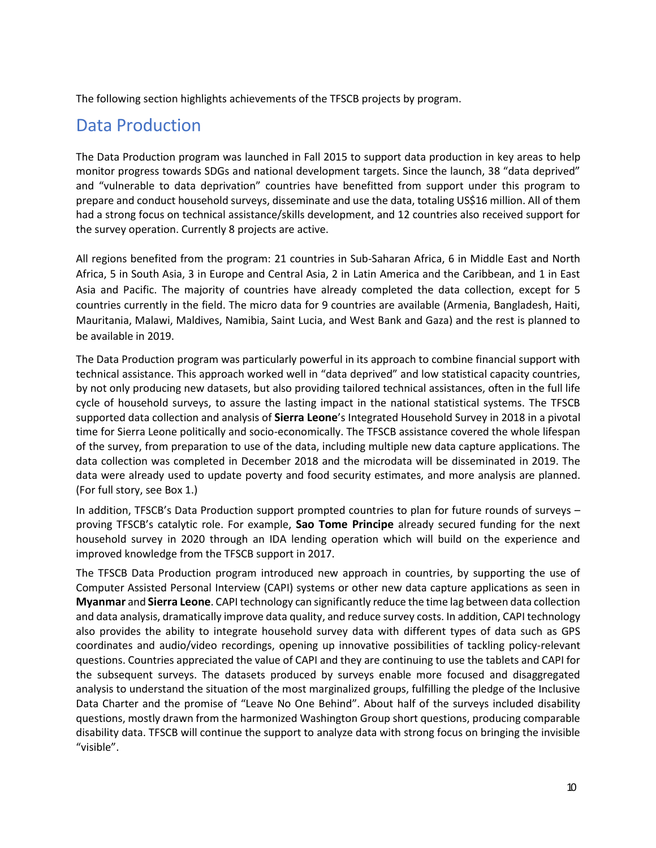The following section highlights achievements of the TFSCB projects by program.

### Data Production

The Data Production program was launched in Fall 2015 to support data production in key areas to help monitor progress towards SDGs and national development targets. Since the launch, 38 "data deprived" and "vulnerable to data deprivation" countries have benefitted from support under this program to prepare and conduct household surveys, disseminate and use the data, totaling US\$16 million. All of them had a strong focus on technical assistance/skills development, and 12 countries also received support for the survey operation. Currently 8 projects are active.

All regions benefited from the program: 21 countries in Sub-Saharan Africa, 6 in Middle East and North Africa, 5 in South Asia, 3 in Europe and Central Asia, 2 in Latin America and the Caribbean, and 1 in East Asia and Pacific. The majority of countries have already completed the data collection, except for 5 countries currently in the field. The micro data for 9 countries are available (Armenia, Bangladesh, Haiti, Mauritania, Malawi, Maldives, Namibia, Saint Lucia, and West Bank and Gaza) and the rest is planned to be available in 2019.

The Data Production program was particularly powerful in its approach to combine financial support with technical assistance. This approach worked well in "data deprived" and low statistical capacity countries, by not only producing new datasets, but also providing tailored technical assistances, often in the full life cycle of household surveys, to assure the lasting impact in the national statistical systems. The TFSCB supported data collection and analysis of **Sierra Leone**'s Integrated Household Survey in 2018 in a pivotal time for Sierra Leone politically and socio-economically. The TFSCB assistance covered the whole lifespan of the survey, from preparation to use of the data, including multiple new data capture applications. The data collection was completed in December 2018 and the microdata will be disseminated in 2019. The data were already used to update poverty and food security estimates, and more analysis are planned. (For full story, see Box 1.)

In addition, TFSCB's Data Production support prompted countries to plan for future rounds of surveys – proving TFSCB's catalytic role. For example, **Sao Tome Principe** already secured funding for the next household survey in 2020 through an IDA lending operation which will build on the experience and improved knowledge from the TFSCB support in 2017.

The TFSCB Data Production program introduced new approach in countries, by supporting the use of Computer Assisted Personal Interview (CAPI) systems or other new data capture applications as seen in **Myanmar** and **Sierra Leone**. CAPI technology can significantly reduce the time lag between data collection and data analysis, dramatically improve data quality, and reduce survey costs. In addition, CAPI technology also provides the ability to integrate household survey data with different types of data such as GPS coordinates and audio/video recordings, opening up innovative possibilities of tackling policy-relevant questions. Countries appreciated the value of CAPI and they are continuing to use the tablets and CAPI for the subsequent surveys. The datasets produced by surveys enable more focused and disaggregated analysis to understand the situation of the most marginalized groups, fulfilling the pledge of the Inclusive Data Charter and the promise of "Leave No One Behind". About half of the surveys included disability questions, mostly drawn from the harmonized Washington Group short questions, producing comparable disability data. TFSCB will continue the support to analyze data with strong focus on bringing the invisible "visible".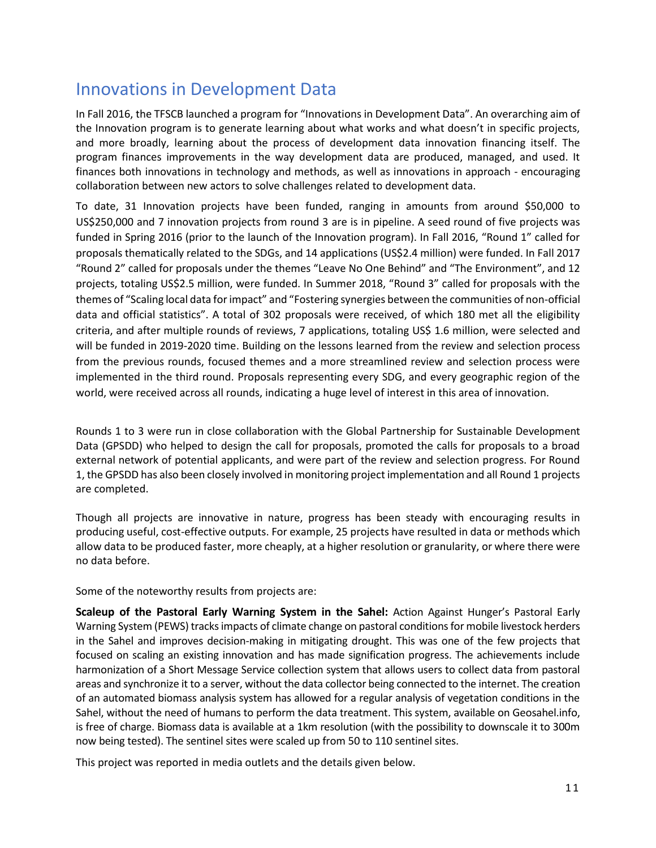### Innovations in Development Data

In Fall 2016, the TFSCB launched a program for "Innovations in Development Data". An overarching aim of the Innovation program is to generate learning about what works and what doesn't in specific projects, and more broadly, learning about the process of development data innovation financing itself. The program finances improvements in the way development data are produced, managed, and used. It finances both innovations in technology and methods, as well as innovations in approach - encouraging collaboration between new actors to solve challenges related to development data.

To date, 31 Innovation projects have been funded, ranging in amounts from around \$50,000 to US\$250,000 and 7 innovation projects from round 3 are is in pipeline. A seed round of five projects was funded in Spring 2016 (prior to the launch of the Innovation program). In Fall 2016, "Round 1" called for proposals thematically related to the SDGs, and 14 applications (US\$2.4 million) were funded. In Fall 2017 "Round 2" called for proposals under the themes "Leave No One Behind" and "The Environment", and 12 projects, totaling US\$2.5 million, were funded. In Summer 2018, "Round 3" called for proposals with the themes of "Scaling local data for impact" and "Fostering synergies between the communities of non-official data and official statistics". A total of 302 proposals were received, of which 180 met all the eligibility criteria, and after multiple rounds of reviews, 7 applications, totaling US\$ 1.6 million, were selected and will be funded in 2019-2020 time. Building on the lessons learned from the review and selection process from the previous rounds, focused themes and a more streamlined review and selection process were implemented in the third round. Proposals representing every SDG, and every geographic region of the world, were received across all rounds, indicating a huge level of interest in this area of innovation.

Rounds 1 to 3 were run in close collaboration with the Global Partnership for Sustainable Development Data (GPSDD) who helped to design the call for proposals, promoted the calls for proposals to a broad external network of potential applicants, and were part of the review and selection progress. For Round 1, the GPSDD has also been closely involved in monitoring project implementation and all Round 1 projects are completed.

Though all projects are innovative in nature, progress has been steady with encouraging results in producing useful, cost-effective outputs. For example, 25 projects have resulted in data or methods which allow data to be produced faster, more cheaply, at a higher resolution or granularity, or where there were no data before.

Some of the noteworthy results from projects are:

**Scaleup of the Pastoral Early Warning System in the Sahel:** Action Against Hunger's Pastoral Early Warning System (PEWS) tracks impacts of climate change on pastoral conditions for mobile livestock herders in the Sahel and improves decision-making in mitigating drought. This was one of the few projects that focused on scaling an existing innovation and has made signification progress. The achievements include harmonization of a Short Message Service collection system that allows users to collect data from pastoral areas and synchronize it to a server, without the data collector being connected to the internet. The creation of an automated biomass analysis system has allowed for a regular analysis of vegetation conditions in the Sahel, without the need of humans to perform the data treatment. This system, available on Geosahel.info, is free of charge. Biomass data is available at a 1km resolution (with the possibility to downscale it to 300m now being tested). The sentinel sites were scaled up from 50 to 110 sentinel sites.

This project was reported in media outlets and the details given below.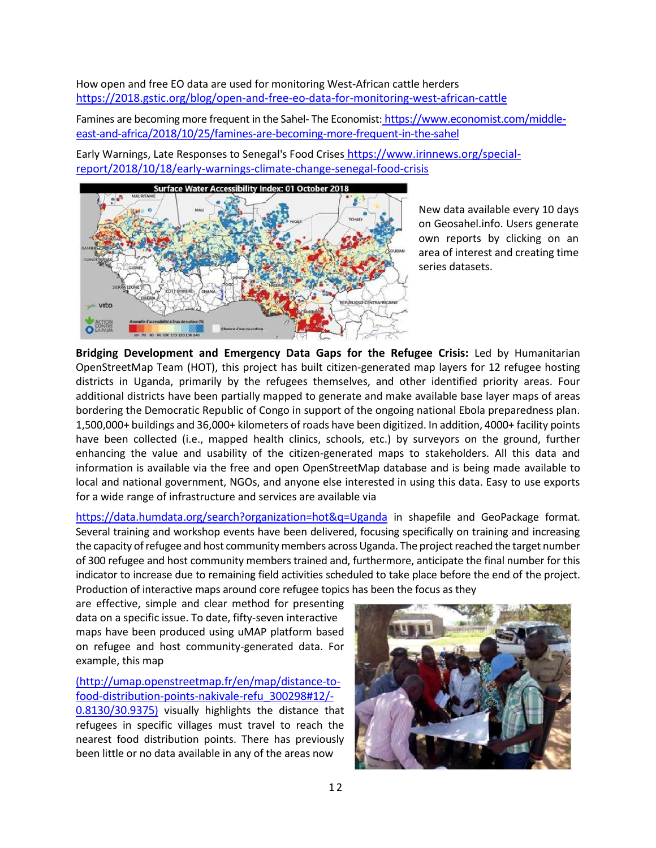How open and free EO data are used for monitoring West-African cattle herders <https://2018.gstic.org/blog/open-and-free-eo-data-for-monitoring-west-african-cattle>

Famines are becoming more frequent in the Sahel- The Economist: [https://www.economist.com/middle](https://www.economist.com/middle-east-and-africa/2018/10/25/famines-are-becoming-more-frequent-in-the-sahel)[east-and-africa/2018/10/25/famines-are-becoming-more-frequent-in-the-sahel](https://www.economist.com/middle-east-and-africa/2018/10/25/famines-are-becoming-more-frequent-in-the-sahel)

Early Warnings, Late Responses to Senegal's Food Crises [https://www.irinnews.org/special](https://www.irinnews.org/special-report/2018/10/18/early-warnings-climate-change-senegal-food-crisis)[report/2018/10/18/early-warnings-climate-change-senegal-food-crisis](https://www.irinnews.org/special-report/2018/10/18/early-warnings-climate-change-senegal-food-crisis)



New data available every 10 days on Geosahel.info. Users generate own reports by clicking on an area of interest and creating time series datasets.

**Bridging Development and Emergency Data Gaps for the Refugee Crisis:** Led by Humanitarian OpenStreetMap Team (HOT), this project has built citizen-generated map layers for 12 refugee hosting districts in Uganda, primarily by the refugees themselves, and other identified priority areas. Four additional districts have been partially mapped to generate and make available base layer maps of areas bordering the Democratic Republic of Congo in support of the ongoing national Ebola preparedness plan. 1,500,000+ buildings and 36,000+ kilometers of roads have been digitized. In addition, 4000+ facility points have been collected (i.e., mapped health clinics, schools, etc.) by surveyors on the ground, further enhancing the value and usability of the citizen-generated maps to stakeholders. All this data and information is available via the free and open OpenStreetMap database and is being made available to local and national government, NGOs, and anyone else interested in using this data. Easy to use exports for a wide range of infrastructure and services are available via

<https://data.humdata.org/search?organization=hot&q=Uganda> in shapefile and GeoPackage format. Several training and workshop events have been delivered, focusing specifically on training and increasing the capacity of refugee and host community members across Uganda. The project reached the target number of 300 refugee and host community members trained and, furthermore, anticipate the final number for this indicator to increase due to remaining field activities scheduled to take place before the end of the project. Production of interactive maps around core refugee topics has been the focus as they

are effective, simple and clear method for presenting data on a specific issue. To date, fifty-seven interactive maps have been produced using uMAP platform based on refugee and host community-generated data. For example, this map

[\(](http://umap.openstreetmap.fr/en/map/distance-to-food-distribution-points-nakivale-refu_300298#12/-0.8130/30.9375)http://umap.openstreetmap.fr/en/map/distance-tofood-distribution-points-nakivale-refu\_300298#12/-

0.8130/30.9375) visually highlights the distance that refugees in specific villages must travel to reach the nearest food distribution points. There has previously been little or no data available in any of the areas now

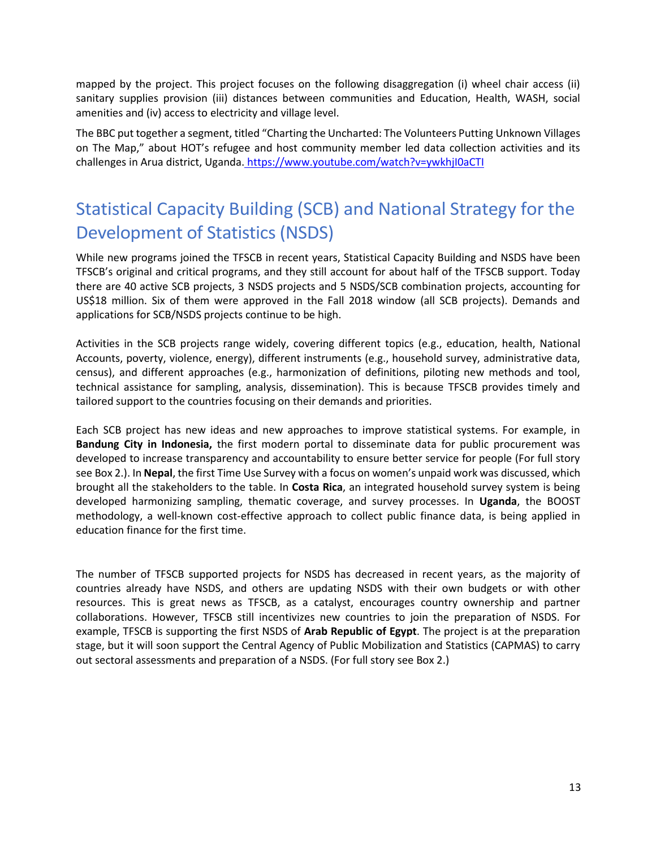mapped by the project. This project focuses on the following disaggregation (i) wheel chair access (ii) sanitary supplies provision (iii) distances between communities and Education, Health, WASH, social amenities and (iv) access to electricity and village level.

The BBC put together a segment, titled "Charting the Uncharted: The Volunteers Putting Unknown Villages on The Map," about HOT's refugee and host community member led data collection activities and its challenges in Arua district, Uganda. <https://www.youtube.com/watch?v=ywkhjI0aCTI>

## Statistical Capacity Building (SCB) and National Strategy for the Development of Statistics (NSDS)

While new programs joined the TFSCB in recent years, Statistical Capacity Building and NSDS have been TFSCB's original and critical programs, and they still account for about half of the TFSCB support. Today there are 40 active SCB projects, 3 NSDS projects and 5 NSDS/SCB combination projects, accounting for US\$18 million. Six of them were approved in the Fall 2018 window (all SCB projects). Demands and applications for SCB/NSDS projects continue to be high.

Activities in the SCB projects range widely, covering different topics (e.g., education, health, National Accounts, poverty, violence, energy), different instruments (e.g., household survey, administrative data, census), and different approaches (e.g., harmonization of definitions, piloting new methods and tool, technical assistance for sampling, analysis, dissemination). This is because TFSCB provides timely and tailored support to the countries focusing on their demands and priorities.

Each SCB project has new ideas and new approaches to improve statistical systems. For example, in **Bandung City in Indonesia,** the first modern portal to disseminate data for public procurement was developed to increase transparency and accountability to ensure better service for people (For full story see Box 2.). In **Nepal**, the first Time Use Survey with a focus on women's unpaid work was discussed, which brought all the stakeholders to the table. In **Costa Rica**, an integrated household survey system is being developed harmonizing sampling, thematic coverage, and survey processes. In **Uganda**, the BOOST methodology, a well-known cost-effective approach to collect public finance data, is being applied in education finance for the first time.

The number of TFSCB supported projects for NSDS has decreased in recent years, as the majority of countries already have NSDS, and others are updating NSDS with their own budgets or with other resources. This is great news as TFSCB, as a catalyst, encourages country ownership and partner collaborations. However, TFSCB still incentivizes new countries to join the preparation of NSDS. For example, TFSCB is supporting the first NSDS of **Arab Republic of Egypt**. The project is at the preparation stage, but it will soon support the Central Agency of Public Mobilization and Statistics (CAPMAS) to carry out sectoral assessments and preparation of a NSDS. (For full story see Box 2.)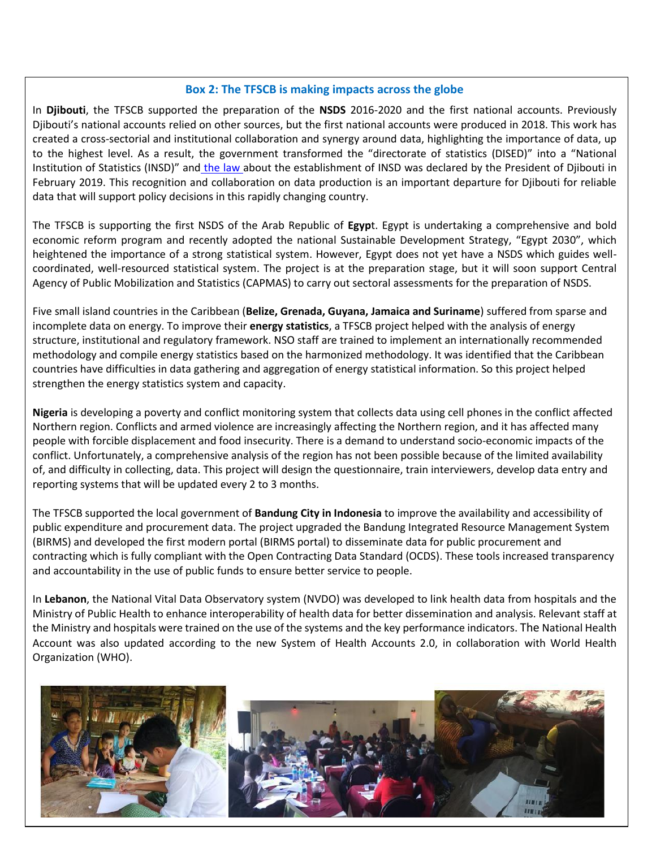#### **Box 2: The TFSCB is making impacts across the globe**

In **Djibouti**, the TFSCB supported the preparation of the **NSDS** 2016-2020 and the first national accounts. Previously Djibouti's national accounts relied on other sources, but the first national accounts were produced in 2018. This work has created a cross-sectorial and institutional collaboration and synergy around data, highlighting the importance of data, up to the highest level. As a result, the government transformed the "directorate of statistics (DISED)" into a "National Institution of Statistics (INSD)" and [the law](https://www.presidence.dj/texte.php?ID=26&ID2=2019-02-27&ID3=Loi&ID4=4&ID5=2019-02-28&ID6=n) about the establishment of INSD was declared by the President of Djibouti in February 2019. This recognition and collaboration on data production is an important departure for Djibouti for reliable data that will support policy decisions in this rapidly changing country.

The TFSCB is supporting the first NSDS of the Arab Republic of **Egyp**t. Egypt is undertaking a comprehensive and bold economic reform program and recently adopted the national Sustainable Development Strategy, "Egypt 2030", which heightened the importance of a strong statistical system. However, Egypt does not yet have a NSDS which guides wellcoordinated, well-resourced statistical system. The project is at the preparation stage, but it will soon support Central Agency of Public Mobilization and Statistics (CAPMAS) to carry out sectoral assessments for the preparation of NSDS.

Five small island countries in the Caribbean (**Belize, Grenada, Guyana, Jamaica and Suriname**) suffered from sparse and incomplete data on energy. To improve their **energy statistics**, a TFSCB project helped with the analysis of energy structure, institutional and regulatory framework. NSO staff are trained to implement an internationally recommended methodology and compile energy statistics based on the harmonized methodology. It was identified that the Caribbean countries have difficulties in data gathering and aggregation of energy statistical information. So this project helped strengthen the energy statistics system and capacity.

**Nigeria** is developing a poverty and conflict monitoring system that collects data using cell phones in the conflict affected Northern region. Conflicts and armed violence are increasingly affecting the Northern region, and it has affected many people with forcible displacement and food insecurity. There is a demand to understand socio-economic impacts of the conflict. Unfortunately, a comprehensive analysis of the region has not been possible because of the limited availability of, and difficulty in collecting, data. This project will design the questionnaire, train interviewers, develop data entry and reporting systems that will be updated every 2 to 3 months.

The TFSCB supported the local government of **Bandung City in Indonesia** to improve the availability and accessibility of public expenditure and procurement data. The project upgraded the Bandung Integrated Resource Management System (BIRMS) and developed the first modern portal (BIRMS portal) to disseminate data for public procurement and contracting which is fully compliant with the Open Contracting Data Standard (OCDS). These tools increased transparency and accountability in the use of public funds to ensure better service to people.

In **Lebanon**, the National Vital Data Observatory system (NVDO) was developed to link health data from hospitals and the Ministry of Public Health to enhance interoperability of health data for better dissemination and analysis. Relevant staff at the Ministry and hospitals were trained on the use of the systems and the key performance indicators. The National Health Account was also updated according to the new System of Health Accounts 2.0, in collaboration with World Health Organization (WHO).

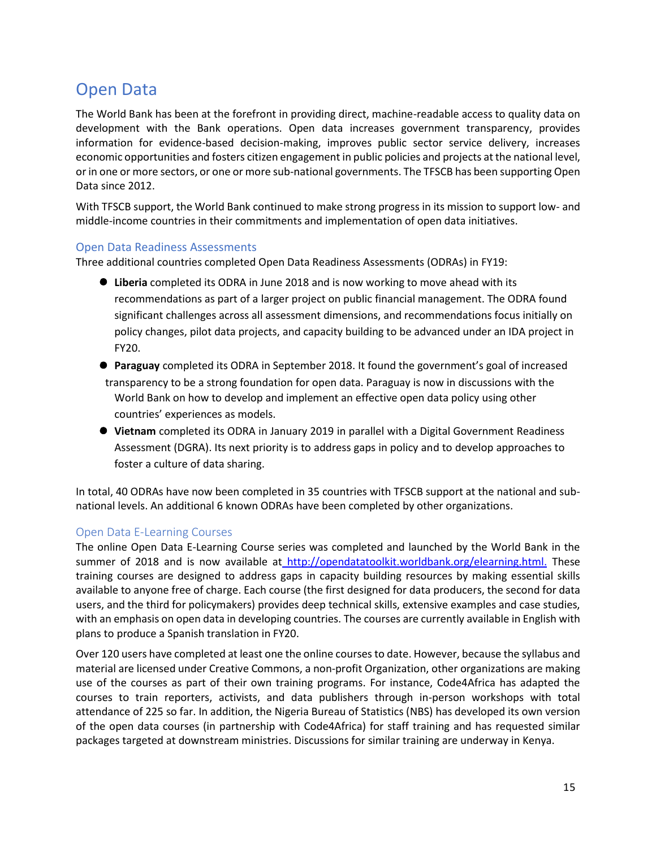### Open Data

The World Bank has been at the forefront in providing direct, machine-readable access to quality data on development with the Bank operations. Open data increases government transparency, provides information for evidence-based decision-making, improves public sector service delivery, increases economic opportunities and fosters citizen engagement in public policies and projects at the national level, or in one or more sectors, or one or more sub-national governments. The TFSCB has been supporting Open Data since 2012.

With TFSCB support, the World Bank continued to make strong progress in its mission to support low- and middle-income countries in their commitments and implementation of open data initiatives.

#### Open Data Readiness Assessments

Three additional countries completed Open Data Readiness Assessments (ODRAs) in FY19:

- ⚫ **Liberia** completed its ODRA in June 2018 and is now working to move ahead with its recommendations as part of a larger project on public financial management. The ODRA found significant challenges across all assessment dimensions, and recommendations focus initially on policy changes, pilot data projects, and capacity building to be advanced under an IDA project in FY20.
- ⚫ **Paraguay** completed its ODRA in September 2018. It found the government's goal of increased transparency to be a strong foundation for open data. Paraguay is now in discussions with the World Bank on how to develop and implement an effective open data policy using other countries' experiences as models.
- ⚫ **Vietnam** completed its ODRA in January 2019 in parallel with a Digital Government Readiness Assessment (DGRA). Its next priority is to address gaps in policy and to develop approaches to foster a culture of data sharing.

In total, 40 ODRAs have now been completed in 35 countries with TFSCB support at the national and subnational levels. An additional 6 known ODRAs have been completed by other organizations.

#### Open Data E-Learning Courses

The online Open Data E-Learning Course series was completed and launched by the World Bank in the summer of 2018 and is now available a[t](http://opendatatoolkit.worldbank.org/elearning.html) [http://opendatatoolkit.worldbank.org/elearning.html.](http://these/) These training courses are designed to address gaps in capacity building resources by making essential skills available to anyone free of charge. Each course (the first designed for data producers, the second for data users, and the third for policymakers) provides deep technical skills, extensive examples and case studies, with an emphasis on open data in developing countries. The courses are currently available in English with plans to produce a Spanish translation in FY20.

Over 120 users have completed at least one the online courses to date. However, because the syllabus and material are licensed under Creative Commons, a non-profit Organization, other organizations are making use of the courses as part of their own training programs. For instance, Code4Africa has adapted the courses to train reporters, activists, and data publishers through in-person workshops with total attendance of 225 so far. In addition, the Nigeria Bureau of Statistics (NBS) has developed its own version of the open data courses (in partnership with Code4Africa) for staff training and has requested similar packages targeted at downstream ministries. Discussions for similar training are underway in Kenya.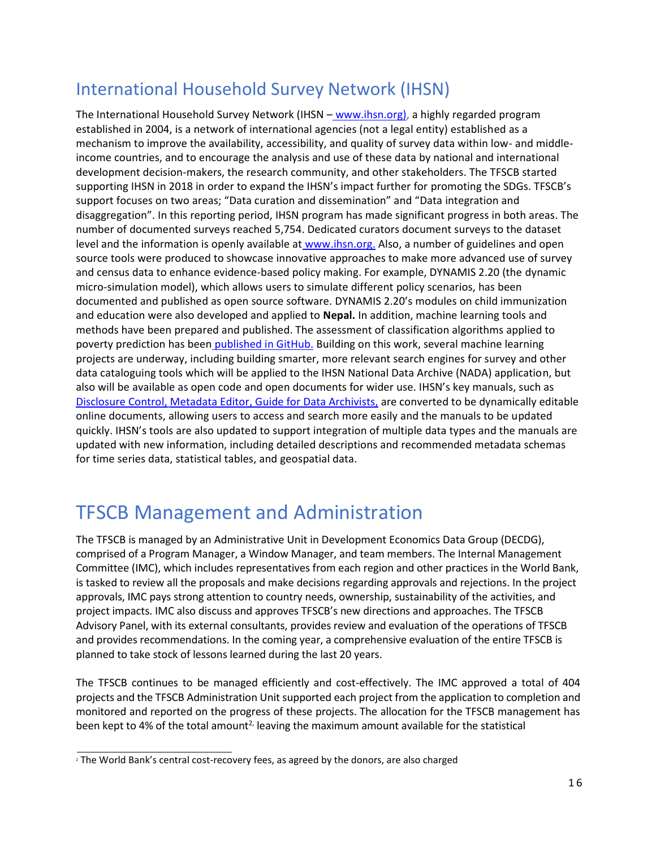## International Household Survey Network (IHSN)

The International Household Survey Network (IHSN – [www.ihsn.org\)](http://www.ihsn.org/), a highly regarded program established in 2004, is a network of international agencies (not a legal entity) established as a mechanism to improve the availability, accessibility, and quality of survey data within low- and middleincome countries, and to encourage the analysis and use of these data by national and international development decision-makers, the research community, and other stakeholders. The TFSCB started supporting IHSN in 2018 in order to expand the IHSN's impact further for promoting the SDGs. TFSCB's support focuses on two areas; "Data curation and dissemination" and "Data integration and disaggregation". In this reporting period, IHSN program has made significant progress in both areas. The number of documented surveys reached 5,754. Dedicated curators document surveys to the dataset level and the information is openly available at [www.ihsn.org.](http://www.ihsn.org/) Also, a number of guidelines and open source tools were produced to showcase innovative approaches to make more advanced use of survey and census data to enhance evidence-based policy making. For example, DYNAMIS 2.20 (the dynamic micro-simulation model), which allows users to simulate different policy scenarios, has been documented and published as open source software. DYNAMIS 2.20's modules on child immunization and education were also developed and applied to **Nepal.** In addition, machine learning tools and methods have been prepared and published. The assessment of classification algorithms applied to poverty prediction has been [published in GitHub.](https://github.com/worldbank/ML-classification-algorithms-poverty) Building on this work, several machine learning projects are underway, including building smarter, more relevant search engines for survey and other data cataloguing tools which will be applied to the IHSN National Data Archive (NADA) application, but also will be available as open code and open documents for wider use. IHSN's key manuals, such a[s](https://sdcpractice.readthedocs.io/en/latest/) [Disclosure Control,](https://sdcpractice.readthedocs.io/en/latest/) [Metadata Editor,](https://metadata-editor.readthedocs.io/en/latest/) [G](https://guide-for-data-archivists.readthedocs.io/en/latest/)uide for Data Archivists, are converted to be dynamically editable online documents, allowing users to access and search more easily and the manuals to be updated quickly. IHSN's tools are also updated to support integration of multiple data types and the manuals are updated with new information, including detailed descriptions and recommended metadata schemas for time series data, statistical tables, and geospatial data.

## TFSCB Management and Administration

The TFSCB is managed by an Administrative Unit in Development Economics Data Group (DECDG), comprised of a Program Manager, a Window Manager, and team members. The Internal Management Committee (IMC), which includes representatives from each region and other practices in the World Bank, is tasked to review all the proposals and make decisions regarding approvals and rejections. In the project approvals, IMC pays strong attention to country needs, ownership, sustainability of the activities, and project impacts. IMC also discuss and approves TFSCB's new directions and approaches. The TFSCB Advisory Panel, with its external consultants, provides review and evaluation of the operations of TFSCB and provides recommendations. In the coming year, a comprehensive evaluation of the entire TFSCB is planned to take stock of lessons learned during the last 20 years.

The TFSCB continues to be managed efficiently and cost-effectively. The IMC approved a total of 404 projects and the TFSCB Administration Unit supported each project from the application to completion and monitored and reported on the progress of these projects. The allocation for the TFSCB management has been kept to 4% of the total amount<sup>2,</sup> leaving the maximum amount available for the statistical

<sup>&</sup>lt;sup>2</sup> The World Bank's central cost-recovery fees, as agreed by the donors, are also charged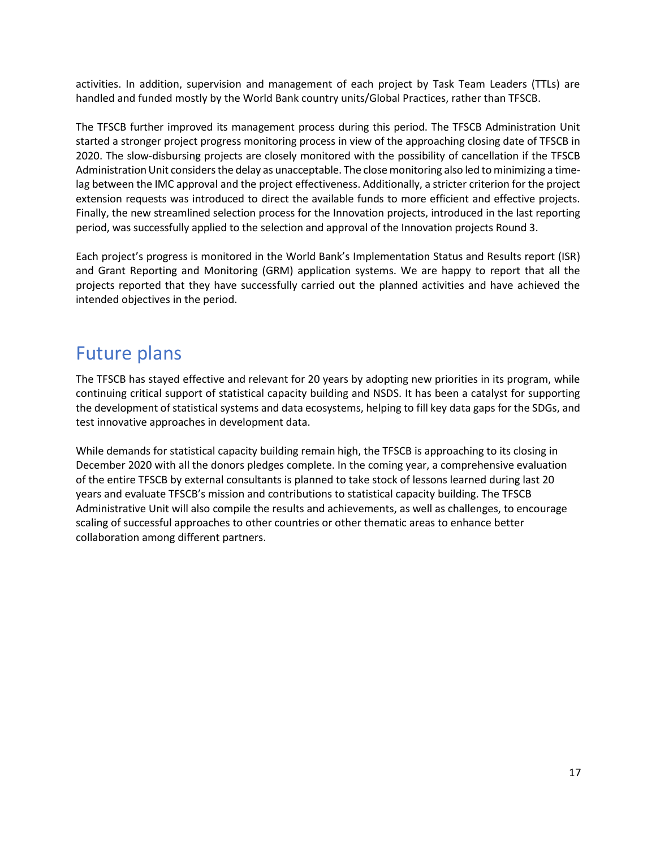activities. In addition, supervision and management of each project by Task Team Leaders (TTLs) are handled and funded mostly by the World Bank country units/Global Practices, rather than TFSCB.

The TFSCB further improved its management process during this period. The TFSCB Administration Unit started a stronger project progress monitoring process in view of the approaching closing date of TFSCB in 2020. The slow-disbursing projects are closely monitored with the possibility of cancellation if the TFSCB Administration Unit considers the delay as unacceptable. The close monitoring also led to minimizing a timelag between the IMC approval and the project effectiveness. Additionally, a stricter criterion for the project extension requests was introduced to direct the available funds to more efficient and effective projects. Finally, the new streamlined selection process for the Innovation projects, introduced in the last reporting period, was successfully applied to the selection and approval of the Innovation projects Round 3.

Each project's progress is monitored in the World Bank's Implementation Status and Results report (ISR) and Grant Reporting and Monitoring (GRM) application systems. We are happy to report that all the projects reported that they have successfully carried out the planned activities and have achieved the intended objectives in the period.

## Future plans

The TFSCB has stayed effective and relevant for 20 years by adopting new priorities in its program, while continuing critical support of statistical capacity building and NSDS. It has been a catalyst for supporting the development of statistical systems and data ecosystems, helping to fill key data gaps for the SDGs, and test innovative approaches in development data.

While demands for statistical capacity building remain high, the TFSCB is approaching to its closing in December 2020 with all the donors pledges complete. In the coming year, a comprehensive evaluation of the entire TFSCB by external consultants is planned to take stock of lessons learned during last 20 years and evaluate TFSCB's mission and contributions to statistical capacity building. The TFSCB Administrative Unit will also compile the results and achievements, as well as challenges, to encourage scaling of successful approaches to other countries or other thematic areas to enhance better collaboration among different partners.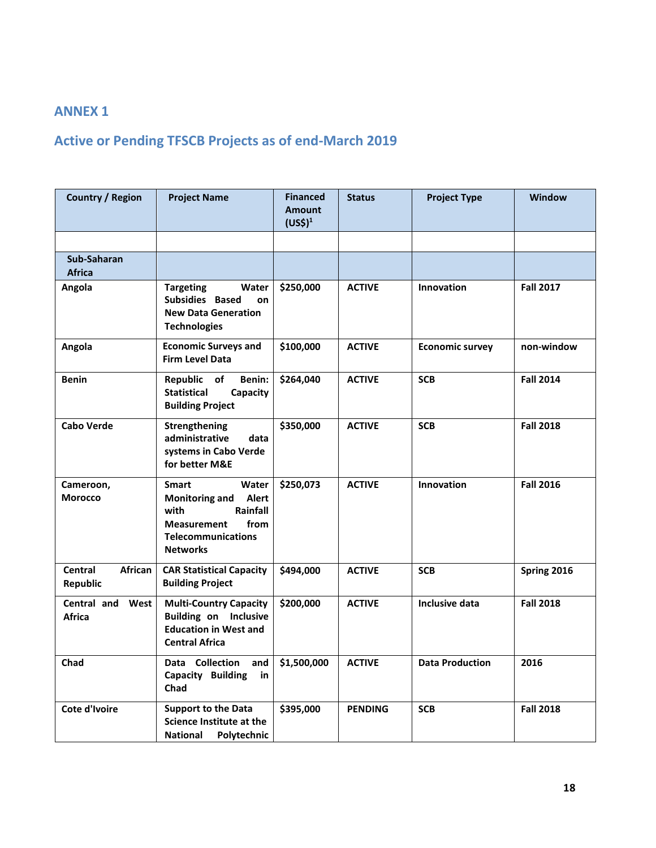### **ANNEX 1**

### **Active or Pending TFSCB Projects as of end-March 2019**

| <b>Country / Region</b>              | <b>Project Name</b>                                                                                                                                       | <b>Financed</b><br><b>Amount</b><br>(US <sup>2</sup> ) <sup>1</sup> | <b>Status</b>  | <b>Project Type</b>    | <b>Window</b>    |
|--------------------------------------|-----------------------------------------------------------------------------------------------------------------------------------------------------------|---------------------------------------------------------------------|----------------|------------------------|------------------|
|                                      |                                                                                                                                                           |                                                                     |                |                        |                  |
| Sub-Saharan<br><b>Africa</b>         |                                                                                                                                                           |                                                                     |                |                        |                  |
| Angola                               | <b>Targeting</b><br>Water<br>Subsidies Based<br>on<br><b>New Data Generation</b><br><b>Technologies</b>                                                   | \$250,000                                                           | <b>ACTIVE</b>  | Innovation             | <b>Fall 2017</b> |
| Angola                               | <b>Economic Surveys and</b><br><b>Firm Level Data</b>                                                                                                     | \$100,000                                                           | <b>ACTIVE</b>  | <b>Economic survey</b> | non-window       |
| <b>Benin</b>                         | Republic of<br>Benin:<br><b>Statistical</b><br>Capacity<br><b>Building Project</b>                                                                        | \$264,040                                                           | <b>ACTIVE</b>  | <b>SCB</b>             | <b>Fall 2014</b> |
| <b>Cabo Verde</b>                    | Strengthening<br>administrative<br>data<br>systems in Cabo Verde<br>for better M&E                                                                        | \$350,000                                                           | <b>ACTIVE</b>  | <b>SCB</b>             | <b>Fall 2018</b> |
| Cameroon,<br><b>Morocco</b>          | <b>Smart</b><br>Water<br><b>Monitoring and</b><br>Alert<br>Rainfall<br>with<br>from<br><b>Measurement</b><br><b>Telecommunications</b><br><b>Networks</b> | \$250,073                                                           | <b>ACTIVE</b>  | Innovation             | <b>Fall 2016</b> |
| Central<br>African<br>Republic       | <b>CAR Statistical Capacity</b><br><b>Building Project</b>                                                                                                | \$494,000                                                           | <b>ACTIVE</b>  | <b>SCB</b>             | Spring 2016      |
| Central and<br>West<br><b>Africa</b> | <b>Multi-Country Capacity</b><br><b>Building on Inclusive</b><br><b>Education in West and</b><br><b>Central Africa</b>                                    | \$200,000                                                           | <b>ACTIVE</b>  | <b>Inclusive data</b>  | <b>Fall 2018</b> |
| Chad                                 | Data Collection<br>and<br>Capacity Building<br>in<br>Chad                                                                                                 | \$1,500,000                                                         | <b>ACTIVE</b>  | <b>Data Production</b> | 2016             |
| Cote d'Ivoire                        | <b>Support to the Data</b><br><b>Science Institute at the</b><br><b>National</b><br><b>Polytechnic</b>                                                    | \$395,000                                                           | <b>PENDING</b> | <b>SCB</b>             | <b>Fall 2018</b> |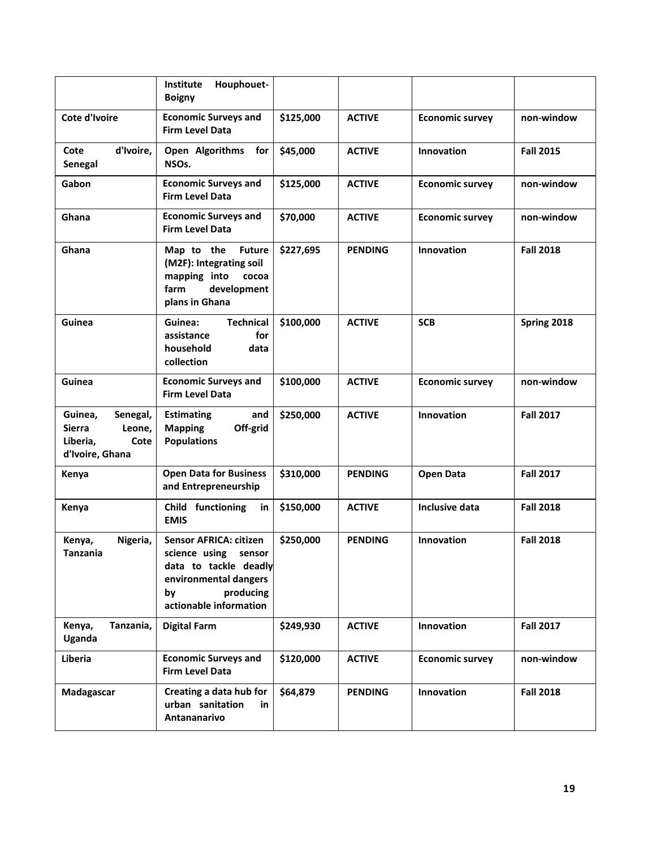|                                                                                       | Houphouet-<br>Institute<br><b>Boigny</b>                                                                                                                |           |                |                        |                  |
|---------------------------------------------------------------------------------------|---------------------------------------------------------------------------------------------------------------------------------------------------------|-----------|----------------|------------------------|------------------|
| Cote d'Ivoire                                                                         | <b>Economic Surveys and</b><br><b>Firm Level Data</b>                                                                                                   | \$125,000 | <b>ACTIVE</b>  | <b>Economic survey</b> | non-window       |
| d'Ivoire,<br>Cote<br>Senegal                                                          | Open Algorithms<br>for<br>NSO <sub>s</sub> .                                                                                                            | \$45,000  | <b>ACTIVE</b>  | Innovation             | <b>Fall 2015</b> |
| Gabon                                                                                 | <b>Economic Surveys and</b><br><b>Firm Level Data</b>                                                                                                   | \$125,000 | <b>ACTIVE</b>  | <b>Economic survey</b> | non-window       |
| Ghana                                                                                 | <b>Economic Surveys and</b><br><b>Firm Level Data</b>                                                                                                   | \$70,000  | <b>ACTIVE</b>  | <b>Economic survey</b> | non-window       |
| Ghana                                                                                 | Map to the<br><b>Future</b><br>(M2F): Integrating soil<br>mapping into<br>cocoa<br>development<br>farm<br>plans in Ghana                                | \$227,695 | <b>PENDING</b> | Innovation             | <b>Fall 2018</b> |
| Guinea                                                                                | Guinea:<br><b>Technical</b><br>assistance<br>for<br>household<br>data<br>collection                                                                     | \$100,000 | <b>ACTIVE</b>  | <b>SCB</b>             | Spring 2018      |
| Guinea                                                                                | <b>Economic Surveys and</b><br><b>Firm Level Data</b>                                                                                                   | \$100,000 | <b>ACTIVE</b>  | <b>Economic survey</b> | non-window       |
| Guinea,<br>Senegal,<br><b>Sierra</b><br>Leone,<br>Liberia,<br>Cote<br>d'Ivoire, Ghana | and<br><b>Estimating</b><br>Off-grid<br><b>Mapping</b><br><b>Populations</b>                                                                            | \$250,000 | <b>ACTIVE</b>  | Innovation             | <b>Fall 2017</b> |
| Kenya                                                                                 | <b>Open Data for Business</b><br>and Entrepreneurship                                                                                                   | \$310,000 | <b>PENDING</b> | <b>Open Data</b>       | <b>Fall 2017</b> |
| Kenya                                                                                 | Child functioning<br>in<br><b>EMIS</b>                                                                                                                  | \$150,000 | <b>ACTIVE</b>  | Inclusive data         | <b>Fall 2018</b> |
| Nigeria,<br>Kenya,<br>Tanzania                                                        | <b>Sensor AFRICA: citizen</b><br>science using<br>sensor<br>data to tackle deadly<br>environmental dangers<br>producing<br>by<br>actionable information | \$250,000 | <b>PENDING</b> | Innovation             | <b>Fall 2018</b> |
| Tanzania,<br>Kenya,<br>Uganda                                                         | <b>Digital Farm</b>                                                                                                                                     | \$249,930 | <b>ACTIVE</b>  | Innovation             | <b>Fall 2017</b> |
| Liberia                                                                               | <b>Economic Surveys and</b><br><b>Firm Level Data</b>                                                                                                   | \$120,000 | <b>ACTIVE</b>  | <b>Economic survey</b> | non-window       |
| Madagascar                                                                            | Creating a data hub for<br>urban sanitation<br>in<br>Antananarivo                                                                                       | \$64,879  | <b>PENDING</b> | Innovation             | <b>Fall 2018</b> |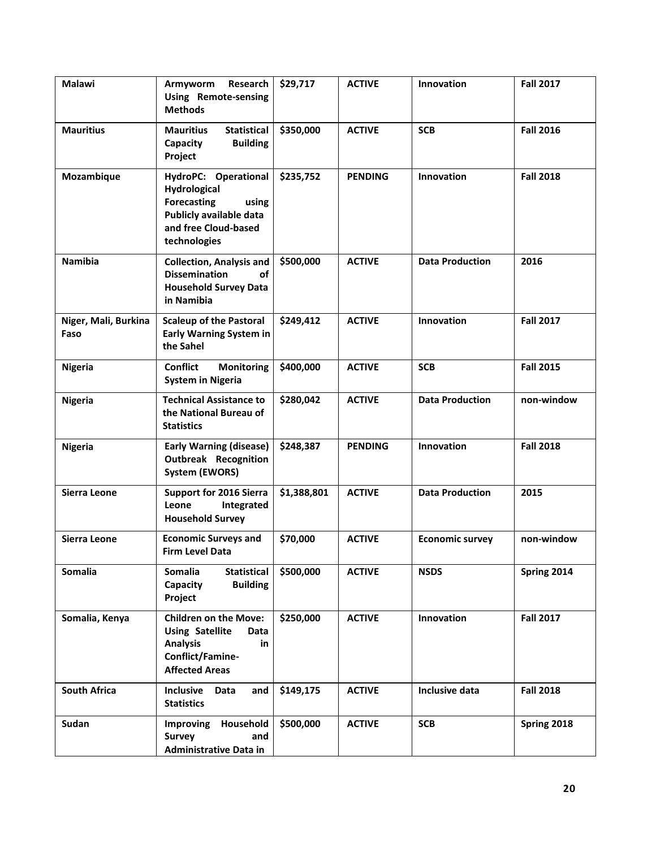| Malawi                       | Armyworm<br><b>Research</b><br><b>Using Remote-sensing</b><br><b>Methods</b>                                                           | \$29,717    | <b>ACTIVE</b>  | Innovation             | <b>Fall 2017</b> |
|------------------------------|----------------------------------------------------------------------------------------------------------------------------------------|-------------|----------------|------------------------|------------------|
| <b>Mauritius</b>             | <b>Statistical</b><br><b>Mauritius</b><br><b>Building</b><br>Capacity<br>Project                                                       | \$350,000   | <b>ACTIVE</b>  | <b>SCB</b>             | <b>Fall 2016</b> |
| Mozambique                   | HydroPC: Operational<br>Hydrological<br><b>Forecasting</b><br>using<br>Publicly available data<br>and free Cloud-based<br>technologies | \$235,752   | <b>PENDING</b> | Innovation             | <b>Fall 2018</b> |
| <b>Namibia</b>               | <b>Collection, Analysis and</b><br><b>Dissemination</b><br>οf<br><b>Household Survey Data</b><br>in Namibia                            | \$500,000   | <b>ACTIVE</b>  | <b>Data Production</b> | 2016             |
| Niger, Mali, Burkina<br>Faso | <b>Scaleup of the Pastoral</b><br><b>Early Warning System in</b><br>the Sahel                                                          | \$249,412   | <b>ACTIVE</b>  | Innovation             | <b>Fall 2017</b> |
| <b>Nigeria</b>               | <b>Conflict</b><br><b>Monitoring</b><br><b>System in Nigeria</b>                                                                       | \$400,000   | <b>ACTIVE</b>  | <b>SCB</b>             | <b>Fall 2015</b> |
| <b>Nigeria</b>               | <b>Technical Assistance to</b><br>the National Bureau of<br><b>Statistics</b>                                                          | \$280,042   | <b>ACTIVE</b>  | <b>Data Production</b> | non-window       |
| <b>Nigeria</b>               | <b>Early Warning (disease)</b><br><b>Outbreak Recognition</b><br><b>System (EWORS)</b>                                                 | \$248,387   | <b>PENDING</b> | Innovation             | <b>Fall 2018</b> |
| Sierra Leone                 | <b>Support for 2016 Sierra</b><br>Leone<br>Integrated<br><b>Household Survey</b>                                                       | \$1,388,801 | <b>ACTIVE</b>  | <b>Data Production</b> | 2015             |
| <b>Sierra Leone</b>          | <b>Economic Surveys and</b><br><b>Firm Level Data</b>                                                                                  | \$70,000    | <b>ACTIVE</b>  | <b>Economic survey</b> | non-window       |
| Somalia                      | Somalia<br><b>Statistical</b><br>Capacity<br><b>Building</b><br>Project                                                                | \$500,000   | <b>ACTIVE</b>  | <b>NSDS</b>            | Spring 2014      |
| Somalia, Kenya               | <b>Children on the Move:</b><br><b>Using Satellite</b><br>Data<br><b>Analysis</b><br>in<br>Conflict/Famine-<br><b>Affected Areas</b>   | \$250,000   | <b>ACTIVE</b>  | Innovation             | <b>Fall 2017</b> |
| <b>South Africa</b>          | Inclusive<br><b>Data</b><br>and<br><b>Statistics</b>                                                                                   | \$149,175   | <b>ACTIVE</b>  | Inclusive data         | <b>Fall 2018</b> |
| Sudan                        | Household<br>Improving<br><b>Survey</b><br>and<br><b>Administrative Data in</b>                                                        | \$500,000   | <b>ACTIVE</b>  | <b>SCB</b>             | Spring 2018      |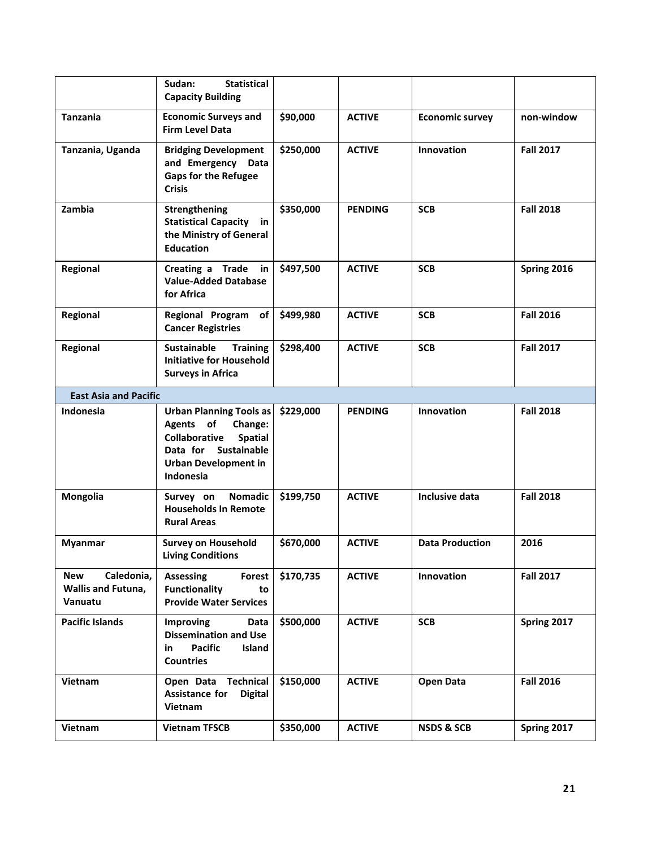|                                                           | Sudan:<br><b>Statistical</b><br><b>Capacity Building</b>                                                                                                             |           |                |                        |                  |
|-----------------------------------------------------------|----------------------------------------------------------------------------------------------------------------------------------------------------------------------|-----------|----------------|------------------------|------------------|
| <b>Tanzania</b>                                           | <b>Economic Surveys and</b><br><b>Firm Level Data</b>                                                                                                                | \$90,000  | <b>ACTIVE</b>  | <b>Economic survey</b> | non-window       |
| Tanzania, Uganda                                          | <b>Bridging Development</b><br>and Emergency Data<br><b>Gaps for the Refugee</b><br><b>Crisis</b>                                                                    | \$250,000 | <b>ACTIVE</b>  | Innovation             | <b>Fall 2017</b> |
| Zambia                                                    | Strengthening<br><b>Statistical Capacity in</b><br>the Ministry of General<br><b>Education</b>                                                                       | \$350,000 | <b>PENDING</b> | <b>SCB</b>             | <b>Fall 2018</b> |
| Regional                                                  | Creating a Trade in<br><b>Value-Added Database</b><br>for Africa                                                                                                     | \$497,500 | <b>ACTIVE</b>  | <b>SCB</b>             | Spring 2016      |
| Regional                                                  | Regional Program<br>of<br><b>Cancer Registries</b>                                                                                                                   | \$499,980 | <b>ACTIVE</b>  | <b>SCB</b>             | <b>Fall 2016</b> |
| Regional                                                  | <b>Sustainable</b><br><b>Training</b><br><b>Initiative for Household</b><br><b>Surveys in Africa</b>                                                                 | \$298,400 | <b>ACTIVE</b>  | <b>SCB</b>             | <b>Fall 2017</b> |
| <b>East Asia and Pacific</b>                              |                                                                                                                                                                      |           |                |                        |                  |
| <b>Indonesia</b>                                          | <b>Urban Planning Tools as</b><br>Agents of<br>Change:<br><b>Collaborative</b><br><b>Spatial</b><br>Data for Sustainable<br><b>Urban Development in</b><br>Indonesia | \$229,000 | <b>PENDING</b> | Innovation             | <b>Fall 2018</b> |
| Mongolia                                                  | <b>Nomadic</b><br>Survey on<br><b>Households In Remote</b><br><b>Rural Areas</b>                                                                                     | \$199,750 | <b>ACTIVE</b>  | Inclusive data         | <b>Fall 2018</b> |
| <b>Myanmar</b>                                            | <b>Survey on Household</b><br><b>Living Conditions</b>                                                                                                               | \$670,000 | <b>ACTIVE</b>  | <b>Data Production</b> | 2016             |
| <b>New</b><br>Caledonia,<br>Wallis and Futuna,<br>Vanuatu | <b>Assessing</b><br>Forest<br><b>Functionality</b><br>to<br><b>Provide Water Services</b>                                                                            | \$170,735 | <b>ACTIVE</b>  | Innovation             | <b>Fall 2017</b> |
| <b>Pacific Islands</b>                                    | Improving<br>Data<br><b>Dissemination and Use</b><br><b>Pacific</b><br>Island<br>in<br><b>Countries</b>                                                              | \$500,000 | <b>ACTIVE</b>  | <b>SCB</b>             | Spring 2017      |
| Vietnam                                                   | Open Data Technical<br>Assistance for<br><b>Digital</b><br>Vietnam                                                                                                   | \$150,000 | <b>ACTIVE</b>  | <b>Open Data</b>       | <b>Fall 2016</b> |
| Vietnam                                                   | <b>Vietnam TFSCB</b>                                                                                                                                                 | \$350,000 | <b>ACTIVE</b>  | <b>NSDS &amp; SCB</b>  | Spring 2017      |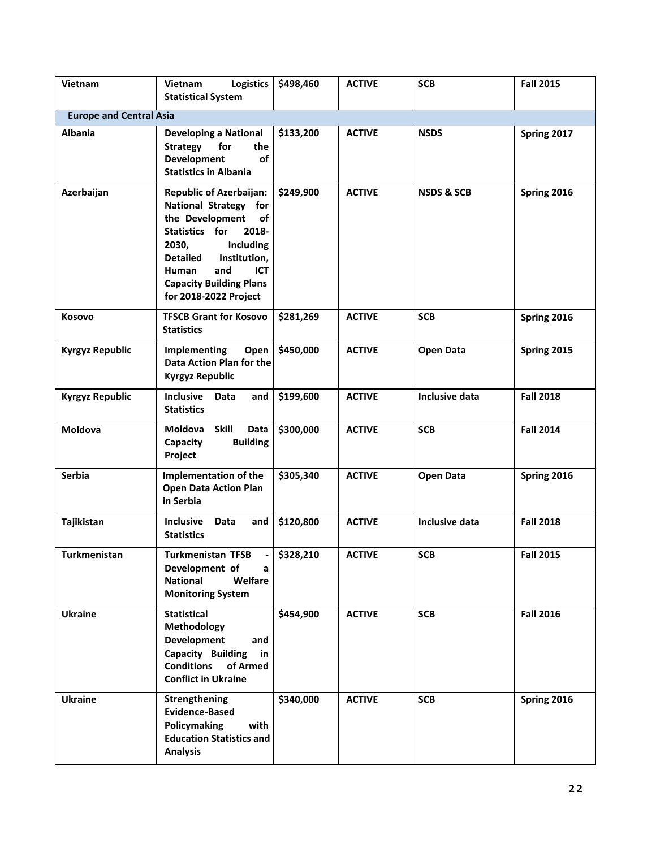| Vietnam                        | <b>Logistics</b><br>Vietnam<br><b>Statistical System</b>                                                                                                                                                                                                             | \$498,460 | <b>ACTIVE</b> | <b>SCB</b>            | <b>Fall 2015</b> |  |  |  |
|--------------------------------|----------------------------------------------------------------------------------------------------------------------------------------------------------------------------------------------------------------------------------------------------------------------|-----------|---------------|-----------------------|------------------|--|--|--|
| <b>Europe and Central Asia</b> |                                                                                                                                                                                                                                                                      |           |               |                       |                  |  |  |  |
| <b>Albania</b>                 | <b>Developing a National</b><br><b>Strategy</b><br>the<br>for<br><b>Development</b><br>of<br><b>Statistics in Albania</b>                                                                                                                                            | \$133,200 | <b>ACTIVE</b> | <b>NSDS</b>           | Spring 2017      |  |  |  |
| Azerbaijan                     | <b>Republic of Azerbaijan:</b><br>National Strategy for<br>the Development<br>of<br>Statistics for<br>2018-<br>2030,<br><b>Including</b><br><b>Detailed</b><br>Institution,<br>Human<br>and<br><b>ICT</b><br><b>Capacity Building Plans</b><br>for 2018-2022 Project | \$249,900 | <b>ACTIVE</b> | <b>NSDS &amp; SCB</b> | Spring 2016      |  |  |  |
| Kosovo                         | <b>TFSCB Grant for Kosovo</b><br><b>Statistics</b>                                                                                                                                                                                                                   | \$281,269 | <b>ACTIVE</b> | <b>SCB</b>            | Spring 2016      |  |  |  |
| <b>Kyrgyz Republic</b>         | Implementing<br>Open<br>Data Action Plan for the<br><b>Kyrgyz Republic</b>                                                                                                                                                                                           | \$450,000 | <b>ACTIVE</b> | <b>Open Data</b>      | Spring 2015      |  |  |  |
| <b>Kyrgyz Republic</b>         | Inclusive Data<br>and<br><b>Statistics</b>                                                                                                                                                                                                                           | \$199,600 | <b>ACTIVE</b> | Inclusive data        | <b>Fall 2018</b> |  |  |  |
| Moldova                        | Moldova<br>Skill<br>Data<br><b>Building</b><br>Capacity<br>Project                                                                                                                                                                                                   | \$300,000 | <b>ACTIVE</b> | <b>SCB</b>            | <b>Fall 2014</b> |  |  |  |
| Serbia                         | Implementation of the<br><b>Open Data Action Plan</b><br>in Serbia                                                                                                                                                                                                   | \$305,340 | <b>ACTIVE</b> | <b>Open Data</b>      | Spring 2016      |  |  |  |
| Tajikistan                     | Inclusive<br>Data<br>and<br><b>Statistics</b>                                                                                                                                                                                                                        | \$120,800 | <b>ACTIVE</b> | Inclusive data        | <b>Fall 2018</b> |  |  |  |
| Turkmenistan                   | <b>Turkmenistan TFSB</b><br>Development of<br>a<br><b>National</b><br>Welfare<br><b>Monitoring System</b>                                                                                                                                                            | \$328,210 | <b>ACTIVE</b> | <b>SCB</b>            | <b>Fall 2015</b> |  |  |  |
| <b>Ukraine</b>                 | <b>Statistical</b><br>Methodology<br><b>Development</b><br>and<br>Capacity Building<br>in<br><b>Conditions</b><br>of Armed<br><b>Conflict in Ukraine</b>                                                                                                             | \$454,900 | <b>ACTIVE</b> | <b>SCB</b>            | <b>Fall 2016</b> |  |  |  |
| <b>Ukraine</b>                 | Strengthening<br><b>Evidence-Based</b><br>Policymaking<br>with<br><b>Education Statistics and</b><br><b>Analysis</b>                                                                                                                                                 | \$340,000 | <b>ACTIVE</b> | <b>SCB</b>            | Spring 2016      |  |  |  |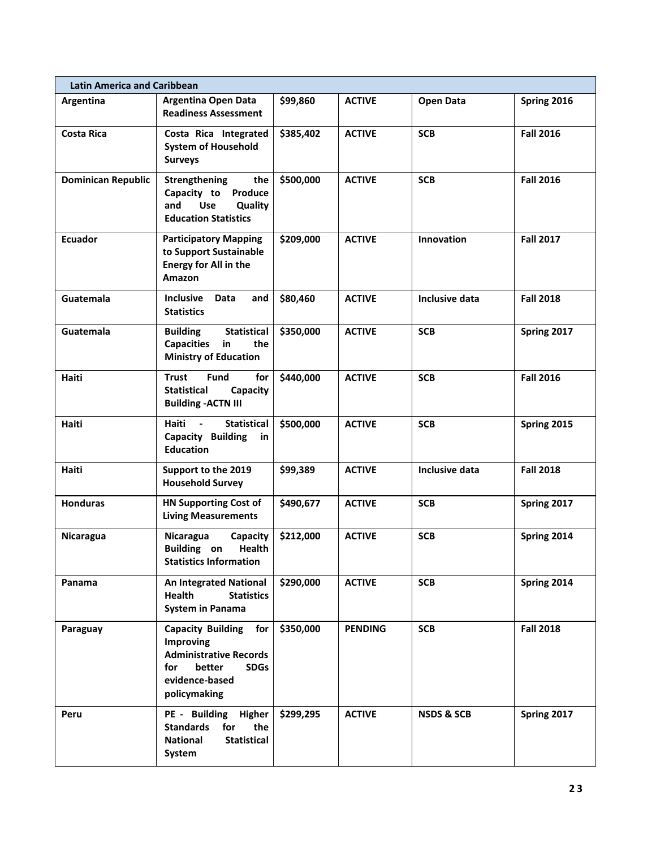| <b>Latin America and Caribbean</b> |                                                                                                                                                 |           |                |                       |                  |  |  |
|------------------------------------|-------------------------------------------------------------------------------------------------------------------------------------------------|-----------|----------------|-----------------------|------------------|--|--|
| Argentina                          | <b>Argentina Open Data</b><br><b>Readiness Assessment</b>                                                                                       | \$99,860  | <b>ACTIVE</b>  | <b>Open Data</b>      | Spring 2016      |  |  |
| <b>Costa Rica</b>                  | Costa Rica Integrated<br><b>System of Household</b><br><b>Surveys</b>                                                                           | \$385,402 | <b>ACTIVE</b>  | <b>SCB</b>            | <b>Fall 2016</b> |  |  |
| <b>Dominican Republic</b>          | Strengthening<br>the<br>Capacity to<br>Produce<br>and<br><b>Use</b><br>Quality<br><b>Education Statistics</b>                                   | \$500,000 | <b>ACTIVE</b>  | <b>SCB</b>            | <b>Fall 2016</b> |  |  |
| Ecuador                            | <b>Participatory Mapping</b><br>to Support Sustainable<br>Energy for All in the<br><b>Amazon</b>                                                | \$209,000 | <b>ACTIVE</b>  | Innovation            | <b>Fall 2017</b> |  |  |
| Guatemala                          | Inclusive<br>Data<br>and<br><b>Statistics</b>                                                                                                   | \$80,460  | <b>ACTIVE</b>  | Inclusive data        | <b>Fall 2018</b> |  |  |
| Guatemala                          | <b>Statistical</b><br><b>Building</b><br>Capacities in<br>the<br><b>Ministry of Education</b>                                                   | \$350,000 | <b>ACTIVE</b>  | <b>SCB</b>            | Spring 2017      |  |  |
| Haiti                              | <b>Trust</b><br>for<br><b>Fund</b><br><b>Statistical</b><br>Capacity<br><b>Building - ACTN III</b>                                              | \$440,000 | <b>ACTIVE</b>  | <b>SCB</b>            | <b>Fall 2016</b> |  |  |
| <b>Haiti</b>                       | Haiti<br>$\sim$<br><b>Statistical</b><br>Capacity Building<br>in<br><b>Education</b>                                                            | \$500,000 | <b>ACTIVE</b>  | <b>SCB</b>            | Spring 2015      |  |  |
| Haiti                              | Support to the 2019<br><b>Household Survey</b>                                                                                                  | \$99,389  | <b>ACTIVE</b>  | <b>Inclusive data</b> | <b>Fall 2018</b> |  |  |
| <b>Honduras</b>                    | <b>HN Supporting Cost of</b><br><b>Living Measurements</b>                                                                                      | \$490,677 | <b>ACTIVE</b>  | <b>SCB</b>            | Spring 2017      |  |  |
| Nicaragua                          | Nicaragua<br>Capacity<br><b>Building</b> on<br>Health<br><b>Statistics Information</b>                                                          | \$212,000 | <b>ACTIVE</b>  | <b>SCB</b>            | Spring 2014      |  |  |
| Panama                             | <b>An Integrated National</b><br><b>Health</b><br><b>Statistics</b><br><b>System in Panama</b>                                                  | \$290,000 | <b>ACTIVE</b>  | <b>SCB</b>            | Spring 2014      |  |  |
| Paraguay                           | <b>Capacity Building</b><br>for<br>Improving<br><b>Administrative Records</b><br>for<br>better<br><b>SDGs</b><br>evidence-based<br>policymaking | \$350,000 | <b>PENDING</b> | <b>SCB</b>            | <b>Fall 2018</b> |  |  |
| Peru                               | PE - Building<br>Higher<br><b>Standards</b><br>for<br>the<br><b>National</b><br><b>Statistical</b><br>System                                    | \$299,295 | <b>ACTIVE</b>  | <b>NSDS &amp; SCB</b> | Spring 2017      |  |  |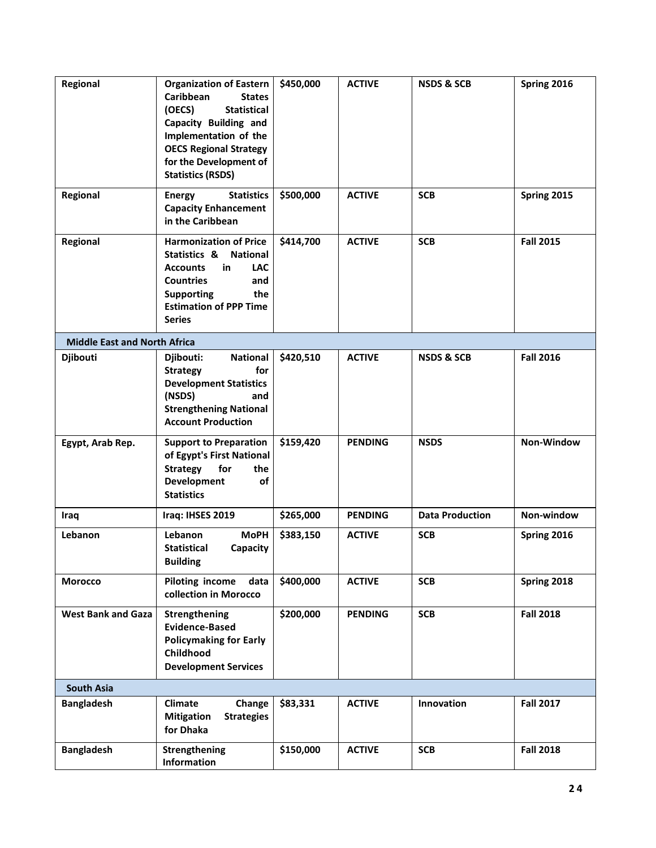| Regional                            | <b>Organization of Eastern</b><br>Caribbean<br><b>States</b><br>(OECS)<br><b>Statistical</b><br>Capacity Building and<br>Implementation of the<br><b>OECS Regional Strategy</b><br>for the Development of<br><b>Statistics (RSDS)</b> | \$450,000 | <b>ACTIVE</b>  | <b>NSDS &amp; SCB</b>  | Spring 2016      |
|-------------------------------------|---------------------------------------------------------------------------------------------------------------------------------------------------------------------------------------------------------------------------------------|-----------|----------------|------------------------|------------------|
| Regional                            | <b>Statistics</b><br><b>Energy</b><br><b>Capacity Enhancement</b><br>in the Caribbean                                                                                                                                                 | \$500,000 | <b>ACTIVE</b>  | <b>SCB</b>             | Spring 2015      |
| Regional                            | <b>Harmonization of Price</b><br>Statistics &<br><b>National</b><br><b>LAC</b><br><b>Accounts</b><br>in<br><b>Countries</b><br>and<br>the<br><b>Supporting</b><br><b>Estimation of PPP Time</b><br><b>Series</b>                      | \$414,700 | <b>ACTIVE</b>  | <b>SCB</b>             | <b>Fall 2015</b> |
| <b>Middle East and North Africa</b> |                                                                                                                                                                                                                                       |           |                |                        |                  |
| Djibouti                            | <b>National</b><br>Djibouti:<br>for<br><b>Strategy</b><br><b>Development Statistics</b><br>(NSDS)<br>and<br><b>Strengthening National</b><br><b>Account Production</b>                                                                | \$420,510 | <b>ACTIVE</b>  | <b>NSDS &amp; SCB</b>  | <b>Fall 2016</b> |
| Egypt, Arab Rep.                    | <b>Support to Preparation</b><br>of Egypt's First National<br><b>Strategy</b><br>for<br>the<br>Development<br>of<br><b>Statistics</b>                                                                                                 | \$159,420 | <b>PENDING</b> | <b>NSDS</b>            | Non-Window       |
| Iraq                                | Iraq: IHSES 2019                                                                                                                                                                                                                      | \$265,000 | <b>PENDING</b> | <b>Data Production</b> | Non-window       |
| Lebanon                             | <b>MoPH</b><br><b>Lebanon</b><br><b>Statistical</b><br>Capacity<br><b>Building</b>                                                                                                                                                    | \$383,150 | <b>ACTIVE</b>  | <b>SCB</b>             | Spring 2016      |
| <b>Morocco</b>                      | <b>Piloting income</b><br>data<br>collection in Morocco                                                                                                                                                                               | \$400,000 | <b>ACTIVE</b>  | <b>SCB</b>             | Spring 2018      |
| <b>West Bank and Gaza</b>           | Strengthening<br><b>Evidence-Based</b><br><b>Policymaking for Early</b><br>Childhood<br><b>Development Services</b>                                                                                                                   | \$200,000 | <b>PENDING</b> | <b>SCB</b>             | <b>Fall 2018</b> |
| <b>South Asia</b>                   |                                                                                                                                                                                                                                       |           |                |                        |                  |
| <b>Bangladesh</b>                   | <b>Climate</b><br>Change<br><b>Strategies</b><br><b>Mitigation</b><br>for Dhaka                                                                                                                                                       | \$83,331  | <b>ACTIVE</b>  | Innovation             | <b>Fall 2017</b> |
| <b>Bangladesh</b>                   | <b>Strengthening</b><br><b>Information</b>                                                                                                                                                                                            | \$150,000 | <b>ACTIVE</b>  | <b>SCB</b>             | <b>Fall 2018</b> |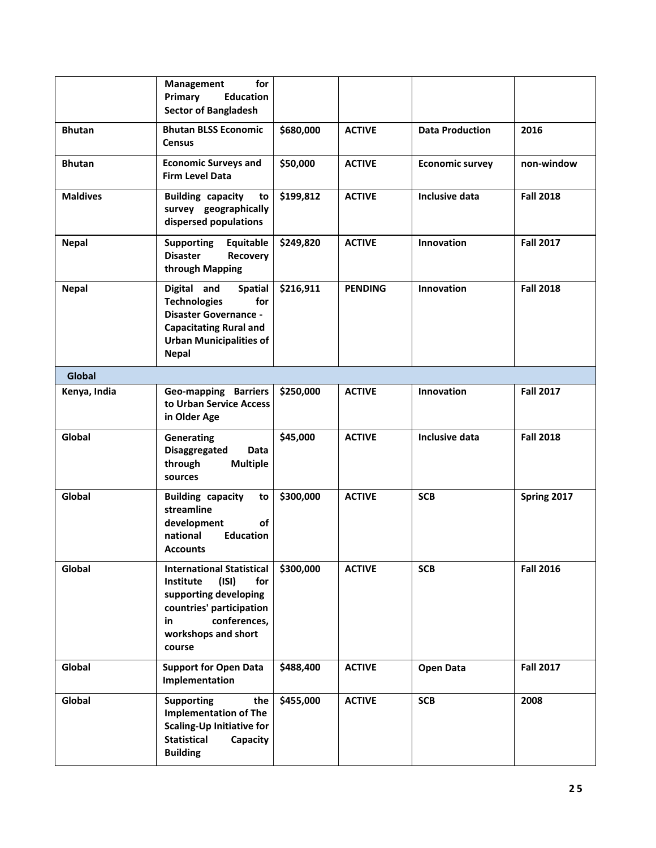|                 | for<br>Management<br><b>Education</b><br>Primary<br><b>Sector of Bangladesh</b>                                                                                                |           |                |                        |                  |
|-----------------|--------------------------------------------------------------------------------------------------------------------------------------------------------------------------------|-----------|----------------|------------------------|------------------|
| <b>Bhutan</b>   | <b>Bhutan BLSS Economic</b><br><b>Census</b>                                                                                                                                   | \$680,000 | <b>ACTIVE</b>  | <b>Data Production</b> | 2016             |
| <b>Bhutan</b>   | <b>Economic Surveys and</b><br><b>Firm Level Data</b>                                                                                                                          | \$50,000  | <b>ACTIVE</b>  | <b>Economic survey</b> | non-window       |
| <b>Maldives</b> | <b>Building capacity</b><br>to<br>survey geographically<br>dispersed populations                                                                                               | \$199,812 | <b>ACTIVE</b>  | Inclusive data         | <b>Fall 2018</b> |
| <b>Nepal</b>    | <b>Supporting</b><br>Equitable<br><b>Disaster</b><br><b>Recovery</b><br>through Mapping                                                                                        | \$249,820 | <b>ACTIVE</b>  | Innovation             | <b>Fall 2017</b> |
| <b>Nepal</b>    | Digital and<br><b>Spatial</b><br><b>Technologies</b><br>for<br><b>Disaster Governance -</b><br><b>Capacitating Rural and</b><br><b>Urban Municipalities of</b><br><b>Nepal</b> | \$216,911 | <b>PENDING</b> | <b>Innovation</b>      | <b>Fall 2018</b> |
| <b>Global</b>   |                                                                                                                                                                                |           |                |                        |                  |
| Kenya, India    | Geo-mapping Barriers<br>to Urban Service Access<br>in Older Age                                                                                                                | \$250,000 | <b>ACTIVE</b>  | Innovation             | <b>Fall 2017</b> |
| Global          | <b>Generating</b><br>Disaggregated<br><b>Data</b><br>through<br><b>Multiple</b><br>sources                                                                                     | \$45,000  | <b>ACTIVE</b>  | Inclusive data         | <b>Fall 2018</b> |
| Global          | <b>Building capacity</b><br>to<br>streamline<br>of<br>development<br><b>Education</b><br>national<br>Accounts                                                                  | \$300,000 | <b>ACTIVE</b>  | <b>SCB</b>             | Spring 2017      |
| Global          | <b>International Statistical</b><br>(ISI)<br>Institute<br>for<br>supporting developing<br>countries' participation<br>conferences,<br>in<br>workshops and short<br>course      | \$300,000 | <b>ACTIVE</b>  | <b>SCB</b>             | <b>Fall 2016</b> |
| Global          | <b>Support for Open Data</b><br>Implementation                                                                                                                                 | \$488,400 | <b>ACTIVE</b>  | <b>Open Data</b>       | <b>Fall 2017</b> |
| Global          | <b>Supporting</b><br>the<br><b>Implementation of The</b><br><b>Scaling-Up Initiative for</b><br><b>Statistical</b><br>Capacity<br><b>Building</b>                              | \$455,000 | <b>ACTIVE</b>  | <b>SCB</b>             | 2008             |